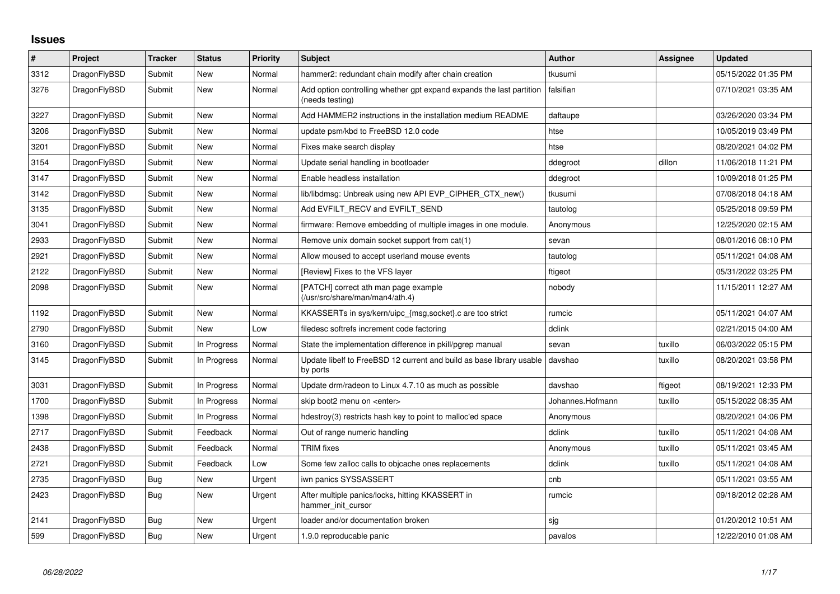## **Issues**

| #    | Project      | <b>Tracker</b> | <b>Status</b> | <b>Priority</b> | <b>Subject</b>                                                                          | <b>Author</b>    | Assignee | <b>Updated</b>      |
|------|--------------|----------------|---------------|-----------------|-----------------------------------------------------------------------------------------|------------------|----------|---------------------|
| 3312 | DragonFlyBSD | Submit         | <b>New</b>    | Normal          | hammer2: redundant chain modify after chain creation                                    | tkusumi          |          | 05/15/2022 01:35 PM |
| 3276 | DragonFlyBSD | Submit         | <b>New</b>    | Normal          | Add option controlling whether gpt expand expands the last partition<br>(needs testing) | falsifian        |          | 07/10/2021 03:35 AM |
| 3227 | DragonFlyBSD | Submit         | <b>New</b>    | Normal          | Add HAMMER2 instructions in the installation medium README                              | daftaupe         |          | 03/26/2020 03:34 PM |
| 3206 | DragonFlyBSD | Submit         | <b>New</b>    | Normal          | update psm/kbd to FreeBSD 12.0 code                                                     | htse             |          | 10/05/2019 03:49 PM |
| 3201 | DragonFlyBSD | Submit         | <b>New</b>    | Normal          | Fixes make search display                                                               | htse             |          | 08/20/2021 04:02 PM |
| 3154 | DragonFlyBSD | Submit         | New           | Normal          | Update serial handling in bootloader                                                    | ddegroot         | dillon   | 11/06/2018 11:21 PM |
| 3147 | DragonFlyBSD | Submit         | <b>New</b>    | Normal          | Enable headless installation                                                            | ddegroot         |          | 10/09/2018 01:25 PM |
| 3142 | DragonFlyBSD | Submit         | <b>New</b>    | Normal          | lib/libdmsg: Unbreak using new API EVP_CIPHER_CTX_new()                                 | tkusumi          |          | 07/08/2018 04:18 AM |
| 3135 | DragonFlyBSD | Submit         | New           | Normal          | Add EVFILT_RECV and EVFILT_SEND                                                         | tautolog         |          | 05/25/2018 09:59 PM |
| 3041 | DragonFlyBSD | Submit         | <b>New</b>    | Normal          | firmware: Remove embedding of multiple images in one module.                            | Anonymous        |          | 12/25/2020 02:15 AM |
| 2933 | DragonFlyBSD | Submit         | New           | Normal          | Remove unix domain socket support from cat(1)                                           | sevan            |          | 08/01/2016 08:10 PM |
| 2921 | DragonFlyBSD | Submit         | <b>New</b>    | Normal          | Allow moused to accept userland mouse events                                            | tautolog         |          | 05/11/2021 04:08 AM |
| 2122 | DragonFlyBSD | Submit         | <b>New</b>    | Normal          | [Review] Fixes to the VFS layer                                                         | ftigeot          |          | 05/31/2022 03:25 PM |
| 2098 | DragonFlyBSD | Submit         | New           | Normal          | [PATCH] correct ath man page example<br>(/usr/src/share/man/man4/ath.4)                 | nobody           |          | 11/15/2011 12:27 AM |
| 1192 | DragonFlyBSD | Submit         | <b>New</b>    | Normal          | KKASSERTs in sys/kern/uipc_{msg,socket}.c are too strict                                | rumcic           |          | 05/11/2021 04:07 AM |
| 2790 | DragonFlyBSD | Submit         | <b>New</b>    | Low             | filedesc softrefs increment code factoring                                              | dclink           |          | 02/21/2015 04:00 AM |
| 3160 | DragonFlyBSD | Submit         | In Progress   | Normal          | State the implementation difference in pkill/pgrep manual                               | sevan            | tuxillo  | 06/03/2022 05:15 PM |
| 3145 | DragonFlyBSD | Submit         | In Progress   | Normal          | Update libelf to FreeBSD 12 current and build as base library usable<br>by ports        | davshao          | tuxillo  | 08/20/2021 03:58 PM |
| 3031 | DragonFlyBSD | Submit         | In Progress   | Normal          | Update drm/radeon to Linux 4.7.10 as much as possible                                   | davshao          | ftigeot  | 08/19/2021 12:33 PM |
| 1700 | DragonFlyBSD | Submit         | In Progress   | Normal          | skip boot2 menu on <enter></enter>                                                      | Johannes.Hofmann | tuxillo  | 05/15/2022 08:35 AM |
| 1398 | DragonFlyBSD | Submit         | In Progress   | Normal          | hdestroy(3) restricts hash key to point to malloc'ed space                              | Anonymous        |          | 08/20/2021 04:06 PM |
| 2717 | DragonFlyBSD | Submit         | Feedback      | Normal          | Out of range numeric handling                                                           | dclink           | tuxillo  | 05/11/2021 04:08 AM |
| 2438 | DragonFlyBSD | Submit         | Feedback      | Normal          | <b>TRIM</b> fixes                                                                       | Anonymous        | tuxillo  | 05/11/2021 03:45 AM |
| 2721 | DragonFlyBSD | Submit         | Feedback      | Low             | Some few zalloc calls to objcache ones replacements                                     | dclink           | tuxillo  | 05/11/2021 04:08 AM |
| 2735 | DragonFlyBSD | <b>Bug</b>     | <b>New</b>    | Urgent          | iwn panics SYSSASSERT                                                                   | cnb              |          | 05/11/2021 03:55 AM |
| 2423 | DragonFlyBSD | Bug            | New           | Urgent          | After multiple panics/locks, hitting KKASSERT in<br>hammer init cursor                  | rumcic           |          | 09/18/2012 02:28 AM |
| 2141 | DragonFlyBSD | <b>Bug</b>     | <b>New</b>    | Urgent          | loader and/or documentation broken                                                      | sjg              |          | 01/20/2012 10:51 AM |
| 599  | DragonFlyBSD | <b>Bug</b>     | <b>New</b>    | Urgent          | 1.9.0 reproducable panic                                                                | pavalos          |          | 12/22/2010 01:08 AM |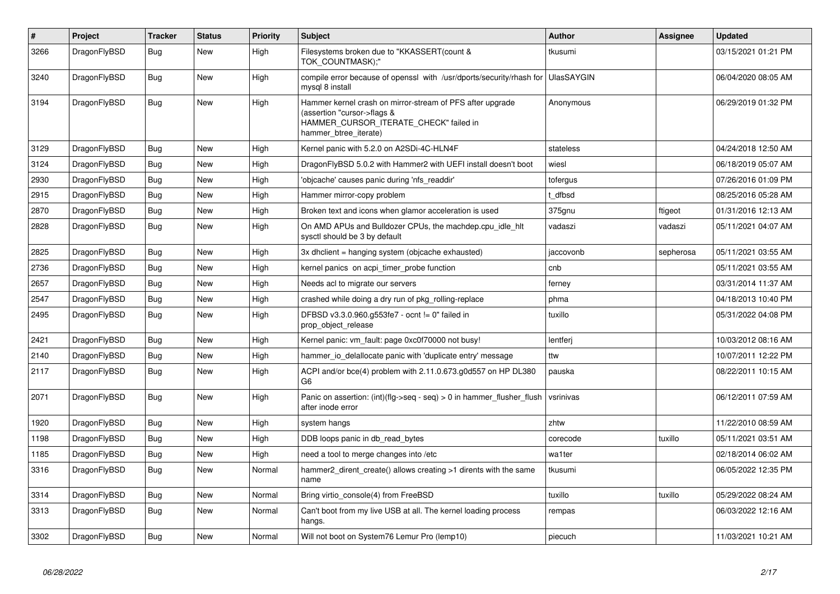| #    | Project      | <b>Tracker</b> | <b>Status</b> | <b>Priority</b> | <b>Subject</b>                                                                                                                                              | <b>Author</b> | Assignee  | <b>Updated</b>      |
|------|--------------|----------------|---------------|-----------------|-------------------------------------------------------------------------------------------------------------------------------------------------------------|---------------|-----------|---------------------|
| 3266 | DragonFlyBSD | Bug            | <b>New</b>    | High            | Filesystems broken due to "KKASSERT(count &<br>TOK_COUNTMASK);"                                                                                             | tkusumi       |           | 03/15/2021 01:21 PM |
| 3240 | DragonFlyBSD | <b>Bug</b>     | <b>New</b>    | High            | compile error because of openssl with /usr/dports/security/rhash for UlasSAYGIN<br>mysql 8 install                                                          |               |           | 06/04/2020 08:05 AM |
| 3194 | DragonFlyBSD | Bug            | <b>New</b>    | High            | Hammer kernel crash on mirror-stream of PFS after upgrade<br>(assertion "cursor->flags &<br>HAMMER_CURSOR_ITERATE_CHECK" failed in<br>hammer btree iterate) | Anonymous     |           | 06/29/2019 01:32 PM |
| 3129 | DragonFlyBSD | Bug            | <b>New</b>    | High            | Kernel panic with 5.2.0 on A2SDi-4C-HLN4F                                                                                                                   | stateless     |           | 04/24/2018 12:50 AM |
| 3124 | DragonFlyBSD | Bug            | <b>New</b>    | High            | DragonFlyBSD 5.0.2 with Hammer2 with UEFI install doesn't boot                                                                                              | wiesl         |           | 06/18/2019 05:07 AM |
| 2930 | DragonFlyBSD | <b>Bug</b>     | <b>New</b>    | High            | 'objcache' causes panic during 'nfs_readdir'                                                                                                                | tofergus      |           | 07/26/2016 01:09 PM |
| 2915 | DragonFlyBSD | Bug            | <b>New</b>    | High            | Hammer mirror-copy problem                                                                                                                                  | dfbsd         |           | 08/25/2016 05:28 AM |
| 2870 | DragonFlyBSD | Bug            | <b>New</b>    | High            | Broken text and icons when glamor acceleration is used                                                                                                      | 375gnu        | ftigeot   | 01/31/2016 12:13 AM |
| 2828 | DragonFlyBSD | <b>Bug</b>     | New           | High            | On AMD APUs and Bulldozer CPUs, the machdep.cpu idle hit<br>sysctl should be 3 by default                                                                   | vadaszi       | vadaszi   | 05/11/2021 04:07 AM |
| 2825 | DragonFlyBSD | <b>Bug</b>     | <b>New</b>    | High            | 3x dhclient = hanging system (objcache exhausted)                                                                                                           | jaccovonb     | sepherosa | 05/11/2021 03:55 AM |
| 2736 | DragonFlyBSD | Bug            | <b>New</b>    | High            | kernel panics on acpi timer probe function                                                                                                                  | cnb           |           | 05/11/2021 03:55 AM |
| 2657 | DragonFlyBSD | Bug            | <b>New</b>    | High            | Needs acl to migrate our servers                                                                                                                            | ferney        |           | 03/31/2014 11:37 AM |
| 2547 | DragonFlyBSD | Bug            | <b>New</b>    | High            | crashed while doing a dry run of pkg rolling-replace                                                                                                        | phma          |           | 04/18/2013 10:40 PM |
| 2495 | DragonFlyBSD | Bug            | New           | High            | DFBSD v3.3.0.960.g553fe7 - ocnt != 0" failed in<br>prop_object_release                                                                                      | tuxillo       |           | 05/31/2022 04:08 PM |
| 2421 | DragonFlyBSD | Bug            | <b>New</b>    | High            | Kernel panic: vm_fault: page 0xc0f70000 not busy!                                                                                                           | lentferj      |           | 10/03/2012 08:16 AM |
| 2140 | DragonFlyBSD | <b>Bug</b>     | <b>New</b>    | High            | hammer_io_delallocate panic with 'duplicate entry' message                                                                                                  | ttw           |           | 10/07/2011 12:22 PM |
| 2117 | DragonFlyBSD | Bug            | New           | High            | ACPI and/or bce(4) problem with 2.11.0.673.g0d557 on HP DL380<br>G6                                                                                         | pauska        |           | 08/22/2011 10:15 AM |
| 2071 | DragonFlyBSD | Bug            | New           | High            | Panic on assertion: $(int)(flag->seq - seq) > 0$ in hammer flusher flush<br>after inode error                                                               | vsrinivas     |           | 06/12/2011 07:59 AM |
| 1920 | DragonFlyBSD | Bug            | <b>New</b>    | High            | system hangs                                                                                                                                                | zhtw          |           | 11/22/2010 08:59 AM |
| 1198 | DragonFlyBSD | <b>Bug</b>     | <b>New</b>    | High            | DDB loops panic in db_read_bytes                                                                                                                            | corecode      | tuxillo   | 05/11/2021 03:51 AM |
| 1185 | DragonFlyBSD | Bug            | <b>New</b>    | High            | need a tool to merge changes into /etc                                                                                                                      | wa1ter        |           | 02/18/2014 06:02 AM |
| 3316 | DragonFlyBSD | Bug            | <b>New</b>    | Normal          | hammer2 dirent create() allows creating $>1$ dirents with the same<br>name                                                                                  | tkusumi       |           | 06/05/2022 12:35 PM |
| 3314 | DragonFlyBSD | <b>Bug</b>     | <b>New</b>    | Normal          | Bring virtio_console(4) from FreeBSD                                                                                                                        | tuxillo       | tuxillo   | 05/29/2022 08:24 AM |
| 3313 | DragonFlyBSD | <b>Bug</b>     | <b>New</b>    | Normal          | Can't boot from my live USB at all. The kernel loading process<br>hangs.                                                                                    | rempas        |           | 06/03/2022 12:16 AM |
| 3302 | DragonFlyBSD | Bug            | <b>New</b>    | Normal          | Will not boot on System76 Lemur Pro (lemp10)                                                                                                                | piecuch       |           | 11/03/2021 10:21 AM |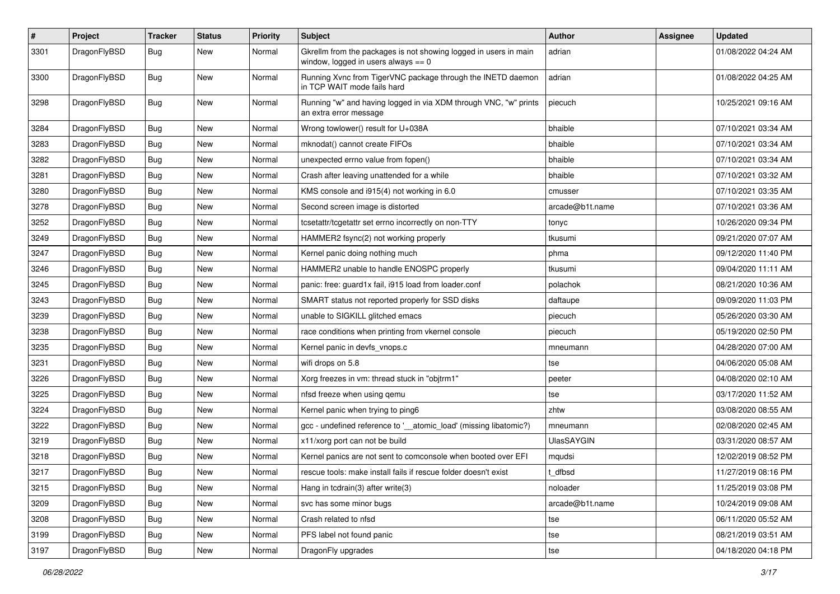| $\pmb{\#}$ | Project      | <b>Tracker</b>   | <b>Status</b> | <b>Priority</b> | Subject                                                                                                   | <b>Author</b>     | Assignee | <b>Updated</b>      |
|------------|--------------|------------------|---------------|-----------------|-----------------------------------------------------------------------------------------------------------|-------------------|----------|---------------------|
| 3301       | DragonFlyBSD | Bug              | <b>New</b>    | Normal          | Gkrellm from the packages is not showing logged in users in main<br>window, logged in users always $== 0$ | adrian            |          | 01/08/2022 04:24 AM |
| 3300       | DragonFlyBSD | Bug              | <b>New</b>    | Normal          | Running Xvnc from TigerVNC package through the INETD daemon<br>in TCP WAIT mode fails hard                | adrian            |          | 01/08/2022 04:25 AM |
| 3298       | DragonFlyBSD | Bug              | New           | Normal          | Running "w" and having logged in via XDM through VNC, "w" prints<br>an extra error message                | piecuch           |          | 10/25/2021 09:16 AM |
| 3284       | DragonFlyBSD | Bug              | New           | Normal          | Wrong towlower() result for U+038A                                                                        | bhaible           |          | 07/10/2021 03:34 AM |
| 3283       | DragonFlyBSD | Bug              | New           | Normal          | mknodat() cannot create FIFOs                                                                             | bhaible           |          | 07/10/2021 03:34 AM |
| 3282       | DragonFlyBSD | <b>Bug</b>       | New           | Normal          | unexpected errno value from fopen()                                                                       | bhaible           |          | 07/10/2021 03:34 AM |
| 3281       | DragonFlyBSD | <b>Bug</b>       | <b>New</b>    | Normal          | Crash after leaving unattended for a while                                                                | bhaible           |          | 07/10/2021 03:32 AM |
| 3280       | DragonFlyBSD | Bug              | New           | Normal          | KMS console and i915(4) not working in 6.0                                                                | cmusser           |          | 07/10/2021 03:35 AM |
| 3278       | DragonFlyBSD | Bug              | <b>New</b>    | Normal          | Second screen image is distorted                                                                          | arcade@b1t.name   |          | 07/10/2021 03:36 AM |
| 3252       | DragonFlyBSD | <b>Bug</b>       | <b>New</b>    | Normal          | tcsetattr/tcgetattr set errno incorrectly on non-TTY                                                      | tonyc             |          | 10/26/2020 09:34 PM |
| 3249       | DragonFlyBSD | <b>Bug</b>       | New           | Normal          | HAMMER2 fsync(2) not working properly                                                                     | tkusumi           |          | 09/21/2020 07:07 AM |
| 3247       | DragonFlyBSD | <b>Bug</b>       | New           | Normal          | Kernel panic doing nothing much                                                                           | phma              |          | 09/12/2020 11:40 PM |
| 3246       | DragonFlyBSD | Bug              | <b>New</b>    | Normal          | HAMMER2 unable to handle ENOSPC properly                                                                  | tkusumi           |          | 09/04/2020 11:11 AM |
| 3245       | DragonFlyBSD | Bug              | <b>New</b>    | Normal          | panic: free: guard1x fail, i915 load from loader.conf                                                     | polachok          |          | 08/21/2020 10:36 AM |
| 3243       | DragonFlyBSD | <b>Bug</b>       | <b>New</b>    | Normal          | SMART status not reported properly for SSD disks                                                          | daftaupe          |          | 09/09/2020 11:03 PM |
| 3239       | DragonFlyBSD | Bug              | <b>New</b>    | Normal          | unable to SIGKILL glitched emacs                                                                          | piecuch           |          | 05/26/2020 03:30 AM |
| 3238       | DragonFlyBSD | <b>Bug</b>       | <b>New</b>    | Normal          | race conditions when printing from vkernel console                                                        | piecuch           |          | 05/19/2020 02:50 PM |
| 3235       | DragonFlyBSD | Bug              | <b>New</b>    | Normal          | Kernel panic in devfs_vnops.c                                                                             | mneumann          |          | 04/28/2020 07:00 AM |
| 3231       | DragonFlyBSD | <b>Bug</b>       | New           | Normal          | wifi drops on 5.8                                                                                         | tse               |          | 04/06/2020 05:08 AM |
| 3226       | DragonFlyBSD | Bug              | <b>New</b>    | Normal          | Xorg freezes in vm: thread stuck in "objtrm1"                                                             | peeter            |          | 04/08/2020 02:10 AM |
| 3225       | DragonFlyBSD | Bug              | New           | Normal          | nfsd freeze when using qemu                                                                               | tse               |          | 03/17/2020 11:52 AM |
| 3224       | DragonFlyBSD | <b>Bug</b>       | <b>New</b>    | Normal          | Kernel panic when trying to ping6                                                                         | zhtw              |          | 03/08/2020 08:55 AM |
| 3222       | DragonFlyBSD | Bug              | <b>New</b>    | Normal          | gcc - undefined reference to '__atomic_load' (missing libatomic?)                                         | mneumann          |          | 02/08/2020 02:45 AM |
| 3219       | DragonFlyBSD | <b>Bug</b>       | <b>New</b>    | Normal          | x11/xorg port can not be build                                                                            | <b>UlasSAYGIN</b> |          | 03/31/2020 08:57 AM |
| 3218       | DragonFlyBSD | <b>Bug</b>       | <b>New</b>    | Normal          | Kernel panics are not sent to comconsole when booted over EFI                                             | mqudsi            |          | 12/02/2019 08:52 PM |
| 3217       | DragonFlyBSD | <sub>I</sub> Bug | New           | Normal          | rescue tools: make install fails if rescue folder doesn't exist                                           | t dfbsd           |          | 11/27/2019 08:16 PM |
| 3215       | DragonFlyBSD | Bug              | <b>New</b>    | Normal          | Hang in tcdrain(3) after write(3)                                                                         | noloader          |          | 11/25/2019 03:08 PM |
| 3209       | DragonFlyBSD | <b>Bug</b>       | <b>New</b>    | Normal          | svc has some minor bugs                                                                                   | arcade@b1t.name   |          | 10/24/2019 09:08 AM |
| 3208       | DragonFlyBSD | <b>Bug</b>       | New           | Normal          | Crash related to nfsd                                                                                     | tse               |          | 06/11/2020 05:52 AM |
| 3199       | DragonFlyBSD | <b>Bug</b>       | New           | Normal          | PFS label not found panic                                                                                 | tse               |          | 08/21/2019 03:51 AM |
| 3197       | DragonFlyBSD | <b>Bug</b>       | New           | Normal          | DragonFly upgrades                                                                                        | tse               |          | 04/18/2020 04:18 PM |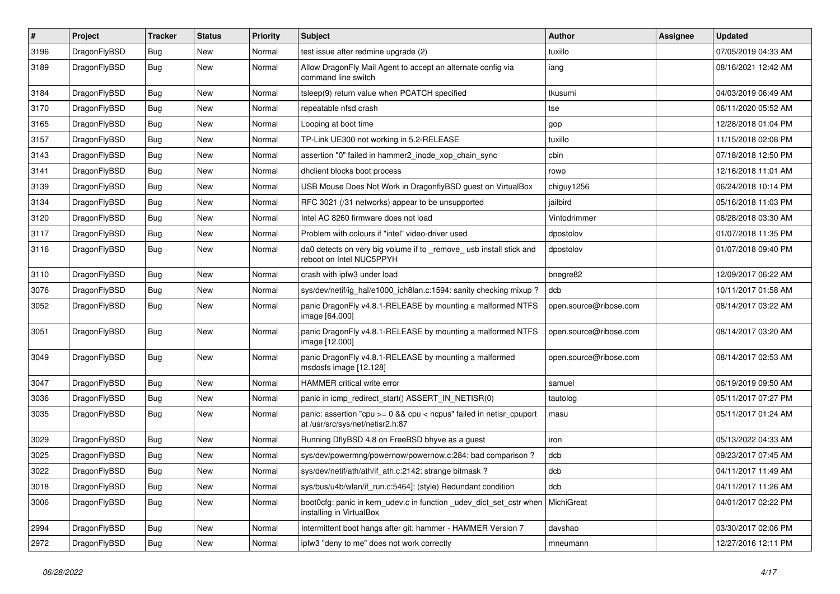| $\pmb{\#}$ | Project      | <b>Tracker</b> | <b>Status</b> | <b>Priority</b> | Subject                                                                                                 | Author                 | Assignee | <b>Updated</b>      |
|------------|--------------|----------------|---------------|-----------------|---------------------------------------------------------------------------------------------------------|------------------------|----------|---------------------|
| 3196       | DragonFlyBSD | Bug            | <b>New</b>    | Normal          | test issue after redmine upgrade (2)                                                                    | tuxillo                |          | 07/05/2019 04:33 AM |
| 3189       | DragonFlyBSD | Bug            | New           | Normal          | Allow DragonFly Mail Agent to accept an alternate config via<br>command line switch                     | iang                   |          | 08/16/2021 12:42 AM |
| 3184       | DragonFlyBSD | Bug            | <b>New</b>    | Normal          | tsleep(9) return value when PCATCH specified                                                            | tkusumi                |          | 04/03/2019 06:49 AM |
| 3170       | DragonFlyBSD | <b>Bug</b>     | <b>New</b>    | Normal          | repeatable nfsd crash                                                                                   | tse                    |          | 06/11/2020 05:52 AM |
| 3165       | DragonFlyBSD | Bug            | <b>New</b>    | Normal          | Looping at boot time                                                                                    | gop                    |          | 12/28/2018 01:04 PM |
| 3157       | DragonFlyBSD | Bug            | <b>New</b>    | Normal          | TP-Link UE300 not working in 5.2-RELEASE                                                                | tuxillo                |          | 11/15/2018 02:08 PM |
| 3143       | DragonFlyBSD | Bug            | New           | Normal          | assertion "0" failed in hammer2_inode_xop_chain_sync                                                    | cbin                   |          | 07/18/2018 12:50 PM |
| 3141       | DragonFlyBSD | Bug            | <b>New</b>    | Normal          | dhclient blocks boot process                                                                            | rowo                   |          | 12/16/2018 11:01 AM |
| 3139       | DragonFlyBSD | Bug            | <b>New</b>    | Normal          | USB Mouse Does Not Work in DragonflyBSD guest on VirtualBox                                             | chiguy1256             |          | 06/24/2018 10:14 PM |
| 3134       | DragonFlyBSD | <b>Bug</b>     | New           | Normal          | RFC 3021 (/31 networks) appear to be unsupported                                                        | jailbird               |          | 05/16/2018 11:03 PM |
| 3120       | DragonFlyBSD | Bug            | <b>New</b>    | Normal          | Intel AC 8260 firmware does not load                                                                    | Vintodrimmer           |          | 08/28/2018 03:30 AM |
| 3117       | DragonFlyBSD | Bug            | <b>New</b>    | Normal          | Problem with colours if "intel" video-driver used                                                       | dpostolov              |          | 01/07/2018 11:35 PM |
| 3116       | DragonFlyBSD | Bug            | New           | Normal          | da0 detects on very big volume if to _remove_ usb install stick and<br>reboot on Intel NUC5PPYH         | dpostolov              |          | 01/07/2018 09:40 PM |
| 3110       | DragonFlyBSD | <b>Bug</b>     | <b>New</b>    | Normal          | crash with ipfw3 under load                                                                             | bnegre82               |          | 12/09/2017 06:22 AM |
| 3076       | DragonFlyBSD | <b>Bug</b>     | <b>New</b>    | Normal          | sys/dev/netif/ig_hal/e1000_ich8lan.c:1594: sanity checking mixup?                                       | dcb                    |          | 10/11/2017 01:58 AM |
| 3052       | DragonFlyBSD | Bug            | New           | Normal          | panic DragonFly v4.8.1-RELEASE by mounting a malformed NTFS<br>image [64.000]                           | open.source@ribose.com |          | 08/14/2017 03:22 AM |
| 3051       | DragonFlyBSD | Bug            | <b>New</b>    | Normal          | panic DragonFly v4.8.1-RELEASE by mounting a malformed NTFS<br>image [12.000]                           | open.source@ribose.com |          | 08/14/2017 03:20 AM |
| 3049       | DragonFlyBSD | Bug            | <b>New</b>    | Normal          | panic DragonFly v4.8.1-RELEASE by mounting a malformed<br>msdosfs image [12.128]                        | open.source@ribose.com |          | 08/14/2017 02:53 AM |
| 3047       | DragonFlyBSD | <b>Bug</b>     | <b>New</b>    | Normal          | <b>HAMMER</b> critical write error                                                                      | samuel                 |          | 06/19/2019 09:50 AM |
| 3036       | DragonFlyBSD | Bug            | <b>New</b>    | Normal          | panic in icmp_redirect_start() ASSERT_IN_NETISR(0)                                                      | tautolog               |          | 05/11/2017 07:27 PM |
| 3035       | DragonFlyBSD | Bug            | <b>New</b>    | Normal          | panic: assertion "cpu >= 0 && cpu < ncpus" failed in netisr_cpuport<br>at /usr/src/sys/net/netisr2.h:87 | masu                   |          | 05/11/2017 01:24 AM |
| 3029       | DragonFlyBSD | Bug            | <b>New</b>    | Normal          | Running DflyBSD 4.8 on FreeBSD bhyve as a guest                                                         | iron                   |          | 05/13/2022 04:33 AM |
| 3025       | DragonFlyBSD | <b>Bug</b>     | <b>New</b>    | Normal          | sys/dev/powermng/powernow/powernow.c:284: bad comparison ?                                              | dcb                    |          | 09/23/2017 07:45 AM |
| 3022       | DragonFlyBSD | Bug            | New           | Normal          | sys/dev/netif/ath/ath/if ath.c:2142: strange bitmask?                                                   | dcb                    |          | 04/11/2017 11:49 AM |
| 3018       | DragonFlyBSD | <b>Bug</b>     | New           | Normal          | sys/bus/u4b/wlan/if_run.c:5464]: (style) Redundant condition                                            | dcb                    |          | 04/11/2017 11:26 AM |
| 3006       | DragonFlyBSD | <b>Bug</b>     | New           | Normal          | boot0cfg: panic in kern_udev.c in function _udev_dict_set_cstr when<br>installing in VirtualBox         | MichiGreat             |          | 04/01/2017 02:22 PM |
| 2994       | DragonFlyBSD | <b>Bug</b>     | New           | Normal          | Intermittent boot hangs after git: hammer - HAMMER Version 7                                            | davshao                |          | 03/30/2017 02:06 PM |
| 2972       | DragonFlyBSD | <b>Bug</b>     | New           | Normal          | ipfw3 "deny to me" does not work correctly                                                              | mneumann               |          | 12/27/2016 12:11 PM |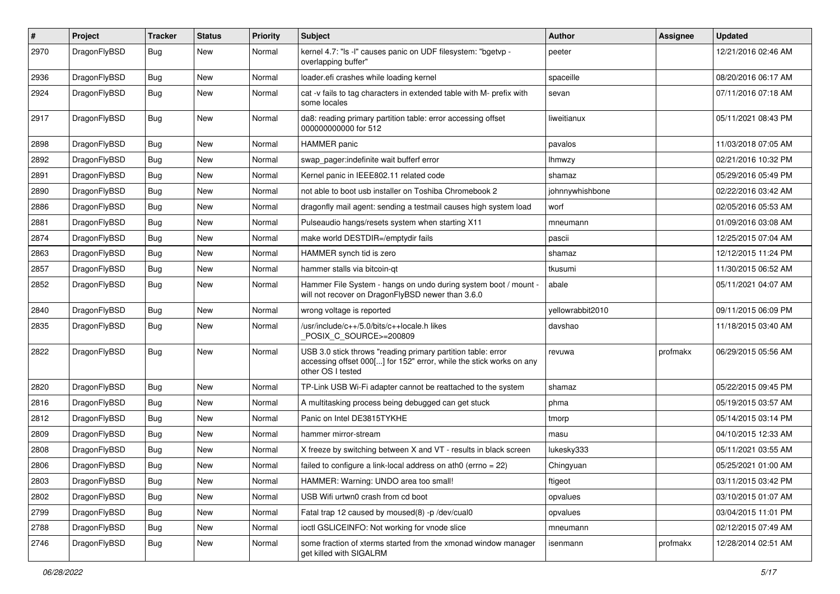| #    | Project      | <b>Tracker</b> | <b>Status</b> | <b>Priority</b> | Subject                                                                                                                                                  | <b>Author</b>    | Assignee | <b>Updated</b>      |
|------|--------------|----------------|---------------|-----------------|----------------------------------------------------------------------------------------------------------------------------------------------------------|------------------|----------|---------------------|
| 2970 | DragonFlyBSD | Bug            | <b>New</b>    | Normal          | kernel 4.7: "Is -I" causes panic on UDF filesystem: "bgetvp -<br>overlapping buffer"                                                                     | peeter           |          | 12/21/2016 02:46 AM |
| 2936 | DragonFlyBSD | <b>Bug</b>     | <b>New</b>    | Normal          | loader.efi crashes while loading kernel                                                                                                                  | spaceille        |          | 08/20/2016 06:17 AM |
| 2924 | DragonFlyBSD | <b>Bug</b>     | <b>New</b>    | Normal          | cat -v fails to tag characters in extended table with M- prefix with<br>some locales                                                                     | sevan            |          | 07/11/2016 07:18 AM |
| 2917 | DragonFlyBSD | <b>Bug</b>     | <b>New</b>    | Normal          | da8: reading primary partition table: error accessing offset<br>000000000000 for 512                                                                     | liweitianux      |          | 05/11/2021 08:43 PM |
| 2898 | DragonFlyBSD | <b>Bug</b>     | <b>New</b>    | Normal          | <b>HAMMER</b> panic                                                                                                                                      | pavalos          |          | 11/03/2018 07:05 AM |
| 2892 | DragonFlyBSD | <b>Bug</b>     | <b>New</b>    | Normal          | swap_pager:indefinite wait bufferf error                                                                                                                 | <b>Ihmwzy</b>    |          | 02/21/2016 10:32 PM |
| 2891 | DragonFlyBSD | <b>Bug</b>     | <b>New</b>    | Normal          | Kernel panic in IEEE802.11 related code                                                                                                                  | shamaz           |          | 05/29/2016 05:49 PM |
| 2890 | DragonFlyBSD | <b>Bug</b>     | <b>New</b>    | Normal          | not able to boot usb installer on Toshiba Chromebook 2                                                                                                   | johnnywhishbone  |          | 02/22/2016 03:42 AM |
| 2886 | DragonFlyBSD | <b>Bug</b>     | New           | Normal          | dragonfly mail agent: sending a testmail causes high system load                                                                                         | worf             |          | 02/05/2016 05:53 AM |
| 2881 | DragonFlyBSD | <b>Bug</b>     | <b>New</b>    | Normal          | Pulseaudio hangs/resets system when starting X11                                                                                                         | mneumann         |          | 01/09/2016 03:08 AM |
| 2874 | DragonFlyBSD | <b>Bug</b>     | <b>New</b>    | Normal          | make world DESTDIR=/emptydir fails                                                                                                                       | pascii           |          | 12/25/2015 07:04 AM |
| 2863 | DragonFlyBSD | <b>Bug</b>     | <b>New</b>    | Normal          | HAMMER synch tid is zero                                                                                                                                 | shamaz           |          | 12/12/2015 11:24 PM |
| 2857 | DragonFlyBSD | <b>Bug</b>     | New           | Normal          | hammer stalls via bitcoin-qt                                                                                                                             | tkusumi          |          | 11/30/2015 06:52 AM |
| 2852 | DragonFlyBSD | Bug            | New           | Normal          | Hammer File System - hangs on undo during system boot / mount -<br>will not recover on DragonFlyBSD newer than 3.6.0                                     | abale            |          | 05/11/2021 04:07 AM |
| 2840 | DragonFlyBSD | <b>Bug</b>     | <b>New</b>    | Normal          | wrong voltage is reported                                                                                                                                | yellowrabbit2010 |          | 09/11/2015 06:09 PM |
| 2835 | DragonFlyBSD | Bug            | <b>New</b>    | Normal          | /usr/include/c++/5.0/bits/c++locale.h likes<br>POSIX C_SOURCE>=200809                                                                                    | davshao          |          | 11/18/2015 03:40 AM |
| 2822 | DragonFlyBSD | <b>Bug</b>     | <b>New</b>    | Normal          | USB 3.0 stick throws "reading primary partition table: error<br>accessing offset 000[] for 152" error, while the stick works on any<br>other OS I tested | revuwa           | profmakx | 06/29/2015 05:56 AM |
| 2820 | DragonFlyBSD | <b>Bug</b>     | <b>New</b>    | Normal          | TP-Link USB Wi-Fi adapter cannot be reattached to the system                                                                                             | shamaz           |          | 05/22/2015 09:45 PM |
| 2816 | DragonFlyBSD | <b>Bug</b>     | <b>New</b>    | Normal          | A multitasking process being debugged can get stuck                                                                                                      | phma             |          | 05/19/2015 03:57 AM |
| 2812 | DragonFlyBSD | <b>Bug</b>     | <b>New</b>    | Normal          | Panic on Intel DE3815TYKHE                                                                                                                               | tmorp            |          | 05/14/2015 03:14 PM |
| 2809 | DragonFlyBSD | <b>Bug</b>     | New           | Normal          | hammer mirror-stream                                                                                                                                     | masu             |          | 04/10/2015 12:33 AM |
| 2808 | DragonFlyBSD | <b>Bug</b>     | <b>New</b>    | Normal          | X freeze by switching between X and VT - results in black screen                                                                                         | lukesky333       |          | 05/11/2021 03:55 AM |
| 2806 | DragonFlyBSD | Bug            | New           | Normal          | failed to configure a link-local address on ath $0$ (errno = 22)                                                                                         | Chingyuan        |          | 05/25/2021 01:00 AM |
| 2803 | DragonFlyBSD | Bug            | <b>New</b>    | Normal          | HAMMER: Warning: UNDO area too small!                                                                                                                    | ftigeot          |          | 03/11/2015 03:42 PM |
| 2802 | DragonFlyBSD | Bug            | New           | Normal          | USB Wifi urtwn0 crash from cd boot                                                                                                                       | opvalues         |          | 03/10/2015 01:07 AM |
| 2799 | DragonFlyBSD | <b>Bug</b>     | <b>New</b>    | Normal          | Fatal trap 12 caused by moused(8) -p /dev/cual0                                                                                                          | opvalues         |          | 03/04/2015 11:01 PM |
| 2788 | DragonFlyBSD | <b>Bug</b>     | New           | Normal          | ioctl GSLICEINFO: Not working for vnode slice                                                                                                            | mneumann         |          | 02/12/2015 07:49 AM |
| 2746 | DragonFlyBSD | Bug            | New           | Normal          | some fraction of xterms started from the xmonad window manager<br>get killed with SIGALRM                                                                | isenmann         | profmakx | 12/28/2014 02:51 AM |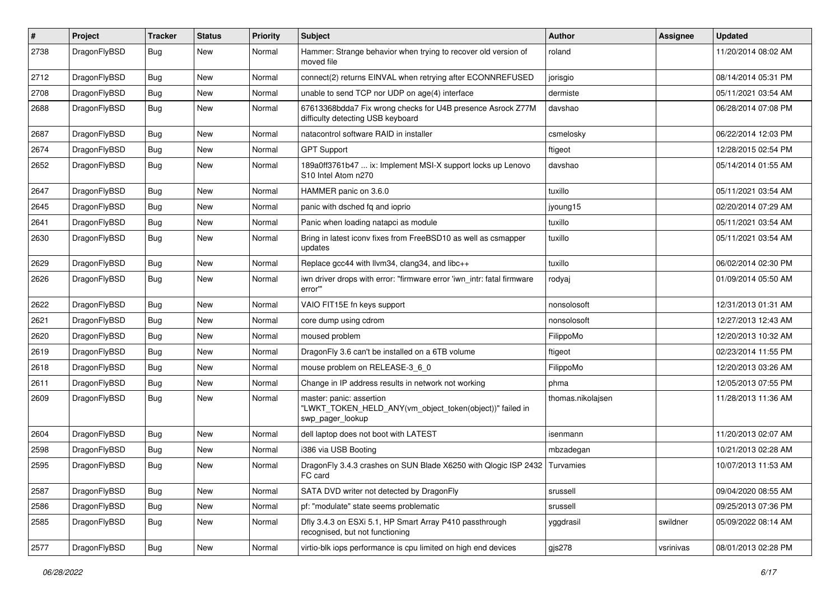| $\sharp$ | Project      | <b>Tracker</b> | <b>Status</b> | <b>Priority</b> | Subject                                                                                                  | <b>Author</b>     | Assignee  | <b>Updated</b>      |
|----------|--------------|----------------|---------------|-----------------|----------------------------------------------------------------------------------------------------------|-------------------|-----------|---------------------|
| 2738     | DragonFlyBSD | Bug            | <b>New</b>    | Normal          | Hammer: Strange behavior when trying to recover old version of<br>moved file                             | roland            |           | 11/20/2014 08:02 AM |
| 2712     | DragonFlyBSD | Bug            | <b>New</b>    | Normal          | connect(2) returns EINVAL when retrying after ECONNREFUSED                                               | jorisgio          |           | 08/14/2014 05:31 PM |
| 2708     | DragonFlyBSD | <b>Bug</b>     | <b>New</b>    | Normal          | unable to send TCP nor UDP on age(4) interface                                                           | dermiste          |           | 05/11/2021 03:54 AM |
| 2688     | DragonFlyBSD | <b>Bug</b>     | <b>New</b>    | Normal          | 67613368bdda7 Fix wrong checks for U4B presence Asrock Z77M<br>difficulty detecting USB keyboard         | davshao           |           | 06/28/2014 07:08 PM |
| 2687     | DragonFlyBSD | <b>Bug</b>     | <b>New</b>    | Normal          | natacontrol software RAID in installer                                                                   | csmelosky         |           | 06/22/2014 12:03 PM |
| 2674     | DragonFlyBSD | <b>Bug</b>     | <b>New</b>    | Normal          | <b>GPT Support</b>                                                                                       | ftigeot           |           | 12/28/2015 02:54 PM |
| 2652     | DragonFlyBSD | <b>Bug</b>     | <b>New</b>    | Normal          | 189a0ff3761b47  ix: Implement MSI-X support locks up Lenovo<br>S10 Intel Atom n270                       | davshao           |           | 05/14/2014 01:55 AM |
| 2647     | DragonFlyBSD | Bug            | <b>New</b>    | Normal          | HAMMER panic on 3.6.0                                                                                    | tuxillo           |           | 05/11/2021 03:54 AM |
| 2645     | DragonFlyBSD | <b>Bug</b>     | <b>New</b>    | Normal          | panic with dsched fq and ioprio                                                                          | jyoung15          |           | 02/20/2014 07:29 AM |
| 2641     | DragonFlyBSD | <b>Bug</b>     | <b>New</b>    | Normal          | Panic when loading natapci as module                                                                     | tuxillo           |           | 05/11/2021 03:54 AM |
| 2630     | DragonFlyBSD | <b>Bug</b>     | New           | Normal          | Bring in latest iconv fixes from FreeBSD10 as well as csmapper<br>updates                                | tuxillo           |           | 05/11/2021 03:54 AM |
| 2629     | DragonFlyBSD | <b>Bug</b>     | <b>New</b>    | Normal          | Replace gcc44 with llvm34, clang34, and libc++                                                           | tuxillo           |           | 06/02/2014 02:30 PM |
| 2626     | DragonFlyBSD | <b>Bug</b>     | New           | Normal          | iwn driver drops with error: "firmware error 'iwn intr: fatal firmware<br>error""                        | rodyaj            |           | 01/09/2014 05:50 AM |
| 2622     | DragonFlyBSD | Bug            | <b>New</b>    | Normal          | VAIO FIT15E fn keys support                                                                              | nonsolosoft       |           | 12/31/2013 01:31 AM |
| 2621     | DragonFlyBSD | <b>Bug</b>     | New           | Normal          | core dump using cdrom                                                                                    | nonsolosoft       |           | 12/27/2013 12:43 AM |
| 2620     | DragonFlyBSD | Bug            | <b>New</b>    | Normal          | moused problem                                                                                           | FilippoMo         |           | 12/20/2013 10:32 AM |
| 2619     | DragonFlyBSD | <b>Bug</b>     | <b>New</b>    | Normal          | DragonFly 3.6 can't be installed on a 6TB volume                                                         | ftigeot           |           | 02/23/2014 11:55 PM |
| 2618     | DragonFlyBSD | <b>Bug</b>     | <b>New</b>    | Normal          | mouse problem on RELEASE-3_6_0                                                                           | FilippoMo         |           | 12/20/2013 03:26 AM |
| 2611     | DragonFlyBSD | <b>Bug</b>     | New           | Normal          | Change in IP address results in network not working                                                      | phma              |           | 12/05/2013 07:55 PM |
| 2609     | DragonFlyBSD | <b>Bug</b>     | New           | Normal          | master: panic: assertion<br>"LWKT_TOKEN_HELD_ANY(vm_object_token(object))" failed in<br>swp_pager_lookup | thomas.nikolajsen |           | 11/28/2013 11:36 AM |
| 2604     | DragonFlyBSD | <b>Bug</b>     | <b>New</b>    | Normal          | dell laptop does not boot with LATEST                                                                    | isenmann          |           | 11/20/2013 02:07 AM |
| 2598     | DragonFlyBSD | <b>Bug</b>     | <b>New</b>    | Normal          | i386 via USB Booting                                                                                     | mbzadegan         |           | 10/21/2013 02:28 AM |
| 2595     | DragonFlyBSD | <b>Bug</b>     | New           | Normal          | DragonFly 3.4.3 crashes on SUN Blade X6250 with Qlogic ISP 2432<br>FC card                               | Turvamies         |           | 10/07/2013 11:53 AM |
| 2587     | DragonFlyBSD | <b>Bug</b>     | New           | Normal          | SATA DVD writer not detected by DragonFly                                                                | srussell          |           | 09/04/2020 08:55 AM |
| 2586     | DragonFlyBSD | <b>Bug</b>     | New           | Normal          | pf: "modulate" state seems problematic                                                                   | srussell          |           | 09/25/2013 07:36 PM |
| 2585     | DragonFlyBSD | <b>Bug</b>     | New           | Normal          | Dfly 3.4.3 on ESXi 5.1, HP Smart Array P410 passthrough<br>recognised, but not functioning               | yggdrasil         | swildner  | 05/09/2022 08:14 AM |
| 2577     | DragonFlyBSD | <b>Bug</b>     | New           | Normal          | virtio-blk iops performance is cpu limited on high end devices                                           | gjs278            | vsrinivas | 08/01/2013 02:28 PM |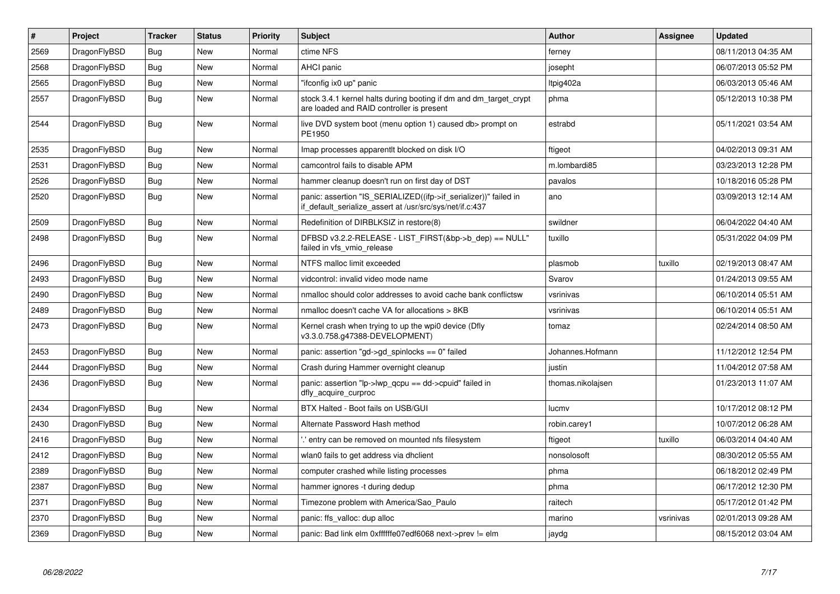| $\vert$ # | Project      | <b>Tracker</b> | <b>Status</b> | <b>Priority</b> | <b>Subject</b>                                                                                                               | <b>Author</b>     | Assignee  | <b>Updated</b>      |
|-----------|--------------|----------------|---------------|-----------------|------------------------------------------------------------------------------------------------------------------------------|-------------------|-----------|---------------------|
| 2569      | DragonFlyBSD | <b>Bug</b>     | <b>New</b>    | Normal          | ctime NFS                                                                                                                    | ferney            |           | 08/11/2013 04:35 AM |
| 2568      | DragonFlyBSD | Bug            | <b>New</b>    | Normal          | <b>AHCI</b> panic                                                                                                            | josepht           |           | 06/07/2013 05:52 PM |
| 2565      | DragonFlyBSD | <b>Bug</b>     | <b>New</b>    | Normal          | "ifconfig ix0 up" panic                                                                                                      | ltpig402a         |           | 06/03/2013 05:46 AM |
| 2557      | DragonFlyBSD | <b>Bug</b>     | <b>New</b>    | Normal          | stock 3.4.1 kernel halts during booting if dm and dm_target_crypt<br>are loaded and RAID controller is present               | phma              |           | 05/12/2013 10:38 PM |
| 2544      | DragonFlyBSD | <b>Bug</b>     | <b>New</b>    | Normal          | live DVD system boot (menu option 1) caused db> prompt on<br>PE1950                                                          | estrabd           |           | 05/11/2021 03:54 AM |
| 2535      | DragonFlyBSD | <b>Bug</b>     | <b>New</b>    | Normal          | Imap processes apparentlt blocked on disk I/O                                                                                | ftigeot           |           | 04/02/2013 09:31 AM |
| 2531      | DragonFlyBSD | Bug            | <b>New</b>    | Normal          | camcontrol fails to disable APM                                                                                              | m.lombardi85      |           | 03/23/2013 12:28 PM |
| 2526      | DragonFlyBSD | <b>Bug</b>     | <b>New</b>    | Normal          | hammer cleanup doesn't run on first day of DST                                                                               | pavalos           |           | 10/18/2016 05:28 PM |
| 2520      | DragonFlyBSD | Bug            | <b>New</b>    | Normal          | panic: assertion "IS SERIALIZED((ifp->if serializer))" failed in<br>if default serialize assert at /usr/src/sys/net/if.c:437 | ano               |           | 03/09/2013 12:14 AM |
| 2509      | DragonFlyBSD | <b>Bug</b>     | <b>New</b>    | Normal          | Redefinition of DIRBLKSIZ in restore(8)                                                                                      | swildner          |           | 06/04/2022 04:40 AM |
| 2498      | DragonFlyBSD | Bug            | <b>New</b>    | Normal          | DFBSD v3.2.2-RELEASE - LIST FIRST(&bp->b dep) == NULL"<br>failed in vfs_vmio_release                                         | tuxillo           |           | 05/31/2022 04:09 PM |
| 2496      | DragonFlyBSD | Bug            | <b>New</b>    | Normal          | NTFS malloc limit exceeded                                                                                                   | plasmob           | tuxillo   | 02/19/2013 08:47 AM |
| 2493      | DragonFlyBSD | <b>Bug</b>     | <b>New</b>    | Normal          | vidcontrol: invalid video mode name                                                                                          | Svarov            |           | 01/24/2013 09:55 AM |
| 2490      | DragonFlyBSD | Bug            | <b>New</b>    | Normal          | nmalloc should color addresses to avoid cache bank conflictsw                                                                | vsrinivas         |           | 06/10/2014 05:51 AM |
| 2489      | DragonFlyBSD | <b>Bug</b>     | <b>New</b>    | Normal          | nmalloc doesn't cache VA for allocations > 8KB                                                                               | vsrinivas         |           | 06/10/2014 05:51 AM |
| 2473      | DragonFlyBSD | <b>Bug</b>     | <b>New</b>    | Normal          | Kernel crash when trying to up the wpi0 device (Dfly<br>v3.3.0.758.g47388-DEVELOPMENT)                                       | tomaz             |           | 02/24/2014 08:50 AM |
| 2453      | DragonFlyBSD | <b>Bug</b>     | <b>New</b>    | Normal          | panic: assertion "gd->gd spinlocks == $0$ " failed                                                                           | Johannes.Hofmann  |           | 11/12/2012 12:54 PM |
| 2444      | DragonFlyBSD | <b>Bug</b>     | <b>New</b>    | Normal          | Crash during Hammer overnight cleanup                                                                                        | justin            |           | 11/04/2012 07:58 AM |
| 2436      | DragonFlyBSD | Bug            | <b>New</b>    | Normal          | panic: assertion "lp->lwp_qcpu == dd->cpuid" failed in<br>dfly acquire curproc                                               | thomas.nikolajsen |           | 01/23/2013 11:07 AM |
| 2434      | DragonFlyBSD | Bug            | <b>New</b>    | Normal          | BTX Halted - Boot fails on USB/GUI                                                                                           | lucmv             |           | 10/17/2012 08:12 PM |
| 2430      | DragonFlyBSD | Bug            | <b>New</b>    | Normal          | Alternate Password Hash method                                                                                               | robin.carey1      |           | 10/07/2012 06:28 AM |
| 2416      | DragonFlyBSD | <b>Bug</b>     | <b>New</b>    | Normal          | .' entry can be removed on mounted nfs filesystem                                                                            | ftigeot           | tuxillo   | 06/03/2014 04:40 AM |
| 2412      | DragonFlyBSD | Bug            | <b>New</b>    | Normal          | wlan0 fails to get address via dhclient                                                                                      | nonsolosoft       |           | 08/30/2012 05:55 AM |
| 2389      | DragonFlyBSD | <b>Bug</b>     | New           | Normal          | computer crashed while listing processes                                                                                     | phma              |           | 06/18/2012 02:49 PM |
| 2387      | DragonFlyBSD | Bug            | <b>New</b>    | Normal          | hammer ignores -t during dedup                                                                                               | phma              |           | 06/17/2012 12:30 PM |
| 2371      | DragonFlyBSD | <b>Bug</b>     | <b>New</b>    | Normal          | Timezone problem with America/Sao_Paulo                                                                                      | raitech           |           | 05/17/2012 01:42 PM |
| 2370      | DragonFlyBSD | Bug            | <b>New</b>    | Normal          | panic: ffs valloc: dup alloc                                                                                                 | marino            | vsrinivas | 02/01/2013 09:28 AM |
| 2369      | DragonFlyBSD | <b>Bug</b>     | <b>New</b>    | Normal          | panic: Bad link elm 0xffffffe07edf6068 next->prev != elm                                                                     | jaydg             |           | 08/15/2012 03:04 AM |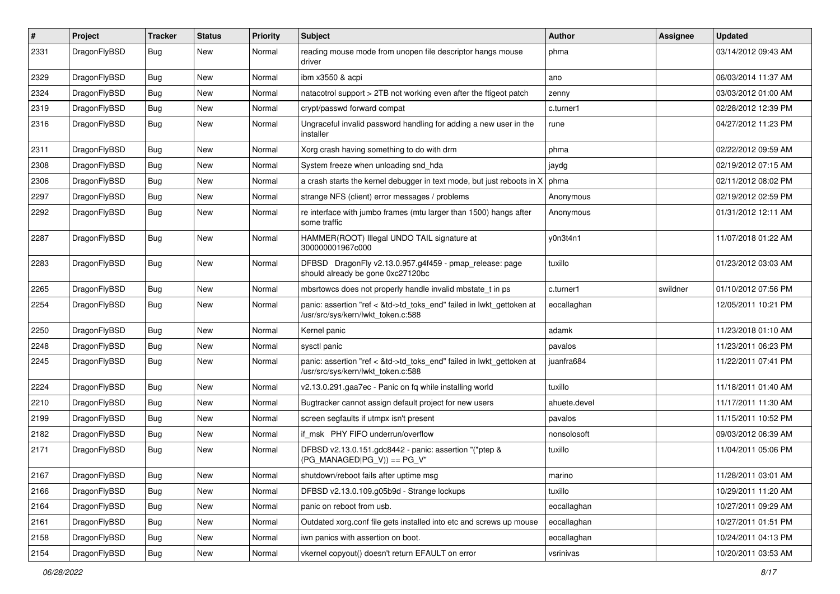| $\#$ | Project      | <b>Tracker</b> | <b>Status</b> | <b>Priority</b> | Subject                                                                                                    | <b>Author</b> | Assignee | <b>Updated</b>      |
|------|--------------|----------------|---------------|-----------------|------------------------------------------------------------------------------------------------------------|---------------|----------|---------------------|
| 2331 | DragonFlyBSD | Bug            | <b>New</b>    | Normal          | reading mouse mode from unopen file descriptor hangs mouse<br>driver                                       | phma          |          | 03/14/2012 09:43 AM |
| 2329 | DragonFlyBSD | <b>Bug</b>     | <b>New</b>    | Normal          | ibm x3550 & acpi                                                                                           | ano           |          | 06/03/2014 11:37 AM |
| 2324 | DragonFlyBSD | <b>Bug</b>     | New           | Normal          | natacotrol support > 2TB not working even after the ftigeot patch                                          | zenny         |          | 03/03/2012 01:00 AM |
| 2319 | DragonFlyBSD | <b>Bug</b>     | <b>New</b>    | Normal          | crypt/passwd forward compat                                                                                | c.turner1     |          | 02/28/2012 12:39 PM |
| 2316 | DragonFlyBSD | <b>Bug</b>     | New           | Normal          | Ungraceful invalid password handling for adding a new user in the<br>installer                             | rune          |          | 04/27/2012 11:23 PM |
| 2311 | DragonFlyBSD | Bug            | <b>New</b>    | Normal          | Xorg crash having something to do with drm                                                                 | phma          |          | 02/22/2012 09:59 AM |
| 2308 | DragonFlyBSD | <b>Bug</b>     | New           | Normal          | System freeze when unloading snd hda                                                                       | jaydg         |          | 02/19/2012 07:15 AM |
| 2306 | DragonFlyBSD | Bug            | <b>New</b>    | Normal          | a crash starts the kernel debugger in text mode, but just reboots in X                                     | phma          |          | 02/11/2012 08:02 PM |
| 2297 | DragonFlyBSD | <b>Bug</b>     | New           | Normal          | strange NFS (client) error messages / problems                                                             | Anonymous     |          | 02/19/2012 02:59 PM |
| 2292 | DragonFlyBSD | Bug            | New           | Normal          | re interface with jumbo frames (mtu larger than 1500) hangs after<br>some traffic                          | Anonymous     |          | 01/31/2012 12:11 AM |
| 2287 | DragonFlyBSD | <b>Bug</b>     | <b>New</b>    | Normal          | HAMMER(ROOT) Illegal UNDO TAIL signature at<br>300000001967c000                                            | y0n3t4n1      |          | 11/07/2018 01:22 AM |
| 2283 | DragonFlyBSD | Bug            | <b>New</b>    | Normal          | DFBSD DragonFly v2.13.0.957.g4f459 - pmap_release: page<br>should already be gone 0xc27120bc               | tuxillo       |          | 01/23/2012 03:03 AM |
| 2265 | DragonFlyBSD | <b>Bug</b>     | <b>New</b>    | Normal          | mbsrtowcs does not properly handle invalid mbstate t in ps                                                 | c.turner1     | swildner | 01/10/2012 07:56 PM |
| 2254 | DragonFlyBSD | <b>Bug</b>     | <b>New</b>    | Normal          | panic: assertion "ref < &td->td_toks_end" failed in lwkt_gettoken at<br>/usr/src/sys/kern/lwkt_token.c:588 | eocallaghan   |          | 12/05/2011 10:21 PM |
| 2250 | DragonFlyBSD | <b>Bug</b>     | <b>New</b>    | Normal          | Kernel panic                                                                                               | adamk         |          | 11/23/2018 01:10 AM |
| 2248 | DragonFlyBSD | Bug            | <b>New</b>    | Normal          | sysctl panic                                                                                               | pavalos       |          | 11/23/2011 06:23 PM |
| 2245 | DragonFlyBSD | Bug            | <b>New</b>    | Normal          | panic: assertion "ref < &td->td_toks_end" failed in lwkt_gettoken at<br>/usr/src/sys/kern/lwkt_token.c:588 | juanfra684    |          | 11/22/2011 07:41 PM |
| 2224 | DragonFlyBSD | <b>Bug</b>     | <b>New</b>    | Normal          | v2.13.0.291.gaa7ec - Panic on fq while installing world                                                    | tuxillo       |          | 11/18/2011 01:40 AM |
| 2210 | DragonFlyBSD | <b>Bug</b>     | <b>New</b>    | Normal          | Bugtracker cannot assign default project for new users                                                     | ahuete.devel  |          | 11/17/2011 11:30 AM |
| 2199 | DragonFlyBSD | Bug            | New           | Normal          | screen segfaults if utmpx isn't present                                                                    | pavalos       |          | 11/15/2011 10:52 PM |
| 2182 | DragonFlyBSD | <b>Bug</b>     | New           | Normal          | if msk PHY FIFO underrun/overflow                                                                          | nonsolosoft   |          | 09/03/2012 06:39 AM |
| 2171 | DragonFlyBSD | <b>Bug</b>     | <b>New</b>    | Normal          | DFBSD v2.13.0.151.gdc8442 - panic: assertion "(*ptep &<br>$(PG_MANAGED PG_V)$ == PG_V"                     | tuxillo       |          | 11/04/2011 05:06 PM |
| 2167 | DragonFlyBSD | Bug            | New           | Normal          | shutdown/reboot fails after uptime msg                                                                     | marino        |          | 11/28/2011 03:01 AM |
| 2166 | DragonFlyBSD | Bug            | New           | Normal          | DFBSD v2.13.0.109.g05b9d - Strange lockups                                                                 | tuxillo       |          | 10/29/2011 11:20 AM |
| 2164 | DragonFlyBSD | <b>Bug</b>     | New           | Normal          | panic on reboot from usb.                                                                                  | eocallaghan   |          | 10/27/2011 09:29 AM |
| 2161 | DragonFlyBSD | <b>Bug</b>     | New           | Normal          | Outdated xorg.conf file gets installed into etc and screws up mouse                                        | eocallaghan   |          | 10/27/2011 01:51 PM |
| 2158 | DragonFlyBSD | Bug            | New           | Normal          | iwn panics with assertion on boot.                                                                         | eocallaghan   |          | 10/24/2011 04:13 PM |
| 2154 | DragonFlyBSD | <b>Bug</b>     | New           | Normal          | vkernel copyout() doesn't return EFAULT on error                                                           | vsrinivas     |          | 10/20/2011 03:53 AM |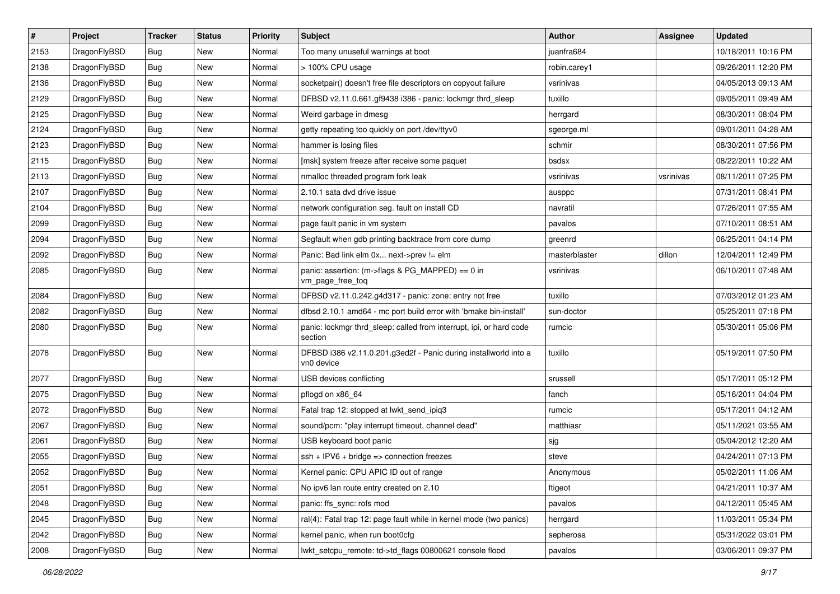| $\pmb{\#}$ | Project      | <b>Tracker</b> | <b>Status</b> | <b>Priority</b> | Subject                                                                        | <b>Author</b> | Assignee  | <b>Updated</b>      |
|------------|--------------|----------------|---------------|-----------------|--------------------------------------------------------------------------------|---------------|-----------|---------------------|
| 2153       | DragonFlyBSD | Bug            | <b>New</b>    | Normal          | Too many unuseful warnings at boot                                             | juanfra684    |           | 10/18/2011 10:16 PM |
| 2138       | DragonFlyBSD | Bug            | <b>New</b>    | Normal          | > 100% CPU usage                                                               | robin.carey1  |           | 09/26/2011 12:20 PM |
| 2136       | DragonFlyBSD | Bug            | <b>New</b>    | Normal          | socketpair() doesn't free file descriptors on copyout failure                  | vsrinivas     |           | 04/05/2013 09:13 AM |
| 2129       | DragonFlyBSD | Bug            | <b>New</b>    | Normal          | DFBSD v2.11.0.661.gf9438 i386 - panic: lockmgr thrd sleep                      | tuxillo       |           | 09/05/2011 09:49 AM |
| 2125       | DragonFlyBSD | Bug            | <b>New</b>    | Normal          | Weird garbage in dmesg                                                         | herrgard      |           | 08/30/2011 08:04 PM |
| 2124       | DragonFlyBSD | Bug            | <b>New</b>    | Normal          | getty repeating too quickly on port /dev/ttyv0                                 | sgeorge.ml    |           | 09/01/2011 04:28 AM |
| 2123       | DragonFlyBSD | Bug            | <b>New</b>    | Normal          | hammer is losing files                                                         | schmir        |           | 08/30/2011 07:56 PM |
| 2115       | DragonFlyBSD | Bug            | New           | Normal          | [msk] system freeze after receive some paquet                                  | bsdsx         |           | 08/22/2011 10:22 AM |
| 2113       | DragonFlyBSD | Bug            | <b>New</b>    | Normal          | nmalloc threaded program fork leak                                             | vsrinivas     | vsrinivas | 08/11/2011 07:25 PM |
| 2107       | DragonFlyBSD | Bug            | <b>New</b>    | Normal          | 2.10.1 sata dvd drive issue                                                    | ausppc        |           | 07/31/2011 08:41 PM |
| 2104       | DragonFlyBSD | Bug            | <b>New</b>    | Normal          | network configuration seg. fault on install CD                                 | navratil      |           | 07/26/2011 07:55 AM |
| 2099       | DragonFlyBSD | Bug            | <b>New</b>    | Normal          | page fault panic in vm system                                                  | pavalos       |           | 07/10/2011 08:51 AM |
| 2094       | DragonFlyBSD | Bug            | <b>New</b>    | Normal          | Segfault when gdb printing backtrace from core dump                            | greenrd       |           | 06/25/2011 04:14 PM |
| 2092       | DragonFlyBSD | Bug            | New           | Normal          | Panic: Bad link elm 0x next->prev != elm                                       | masterblaster | dillon    | 12/04/2011 12:49 PM |
| 2085       | DragonFlyBSD | Bug            | <b>New</b>    | Normal          | panic: assertion: (m->flags & PG_MAPPED) == 0 in<br>vm_page_free_toq           | vsrinivas     |           | 06/10/2011 07:48 AM |
| 2084       | DragonFlyBSD | Bug            | <b>New</b>    | Normal          | DFBSD v2.11.0.242.g4d317 - panic: zone: entry not free                         | tuxillo       |           | 07/03/2012 01:23 AM |
| 2082       | DragonFlyBSD | Bug            | New           | Normal          | dfbsd 2.10.1 amd64 - mc port build error with 'bmake bin-install'              | sun-doctor    |           | 05/25/2011 07:18 PM |
| 2080       | DragonFlyBSD | Bug            | New           | Normal          | panic: lockmgr thrd_sleep: called from interrupt, ipi, or hard code<br>section | rumcic        |           | 05/30/2011 05:06 PM |
| 2078       | DragonFlyBSD | Bug            | New           | Normal          | DFBSD i386 v2.11.0.201.g3ed2f - Panic during installworld into a<br>vn0 device | tuxillo       |           | 05/19/2011 07:50 PM |
| 2077       | DragonFlyBSD | Bug            | <b>New</b>    | Normal          | USB devices conflicting                                                        | srussell      |           | 05/17/2011 05:12 PM |
| 2075       | DragonFlyBSD | Bug            | New           | Normal          | pflogd on x86_64                                                               | fanch         |           | 05/16/2011 04:04 PM |
| 2072       | DragonFlyBSD | Bug            | <b>New</b>    | Normal          | Fatal trap 12: stopped at lwkt_send_ipiq3                                      | rumcic        |           | 05/17/2011 04:12 AM |
| 2067       | DragonFlyBSD | Bug            | New           | Normal          | sound/pcm: "play interrupt timeout, channel dead"                              | matthiasr     |           | 05/11/2021 03:55 AM |
| 2061       | DragonFlyBSD | Bug            | New           | Normal          | USB keyboard boot panic                                                        | sjg           |           | 05/04/2012 12:20 AM |
| 2055       | DragonFlyBSD | Bug            | New           | Normal          | ssh + IPV6 + bridge => connection freezes                                      | steve         |           | 04/24/2011 07:13 PM |
| 2052       | DragonFlyBSD | Bug            | New           | Normal          | Kernel panic: CPU APIC ID out of range                                         | Anonymous     |           | 05/02/2011 11:06 AM |
| 2051       | DragonFlyBSD | Bug            | New           | Normal          | No ipv6 lan route entry created on 2.10                                        | ftigeot       |           | 04/21/2011 10:37 AM |
| 2048       | DragonFlyBSD | Bug            | New           | Normal          | panic: ffs_sync: rofs mod                                                      | pavalos       |           | 04/12/2011 05:45 AM |
| 2045       | DragonFlyBSD | Bug            | New           | Normal          | ral(4): Fatal trap 12: page fault while in kernel mode (two panics)            | herrgard      |           | 11/03/2011 05:34 PM |
| 2042       | DragonFlyBSD | Bug            | New           | Normal          | kernel panic, when run boot0cfg                                                | sepherosa     |           | 05/31/2022 03:01 PM |
| 2008       | DragonFlyBSD | <b>Bug</b>     | New           | Normal          | lwkt_setcpu_remote: td->td_flags 00800621 console flood                        | pavalos       |           | 03/06/2011 09:37 PM |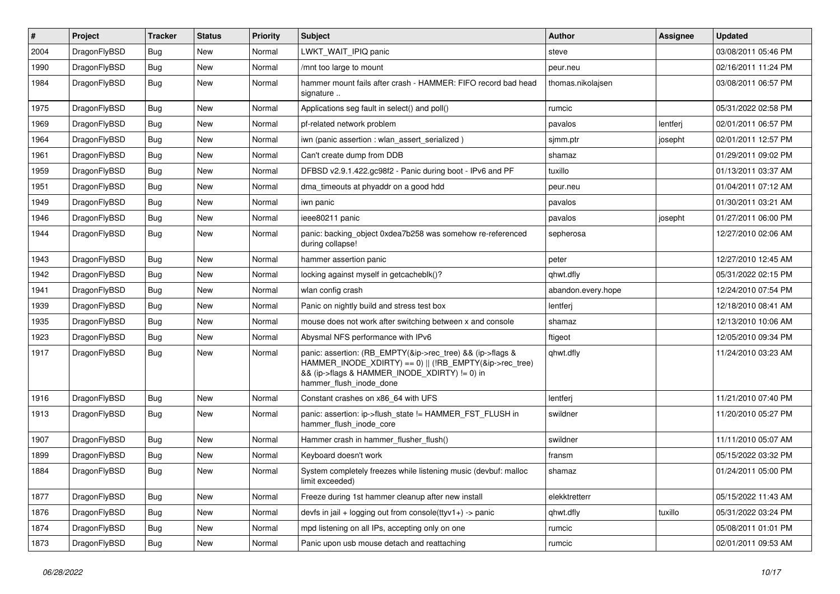| $\vert$ # | Project      | <b>Tracker</b> | <b>Status</b> | <b>Priority</b> | <b>Subject</b>                                                                                                                                                                                    | Author             | Assignee | <b>Updated</b>      |
|-----------|--------------|----------------|---------------|-----------------|---------------------------------------------------------------------------------------------------------------------------------------------------------------------------------------------------|--------------------|----------|---------------------|
| 2004      | DragonFlyBSD | <b>Bug</b>     | <b>New</b>    | Normal          | LWKT_WAIT_IPIQ panic                                                                                                                                                                              | steve              |          | 03/08/2011 05:46 PM |
| 1990      | DragonFlyBSD | <b>Bug</b>     | <b>New</b>    | Normal          | /mnt too large to mount                                                                                                                                                                           | peur.neu           |          | 02/16/2011 11:24 PM |
| 1984      | DragonFlyBSD | <b>Bug</b>     | <b>New</b>    | Normal          | hammer mount fails after crash - HAMMER: FIFO record bad head<br>signature                                                                                                                        | thomas.nikolajsen  |          | 03/08/2011 06:57 PM |
| 1975      | DragonFlyBSD | Bug            | <b>New</b>    | Normal          | Applications seg fault in select() and poll()                                                                                                                                                     | rumcic             |          | 05/31/2022 02:58 PM |
| 1969      | DragonFlyBSD | <b>Bug</b>     | New           | Normal          | pf-related network problem                                                                                                                                                                        | pavalos            | lentferj | 02/01/2011 06:57 PM |
| 1964      | DragonFlyBSD | Bug            | <b>New</b>    | Normal          | iwn (panic assertion : wlan assert serialized)                                                                                                                                                    | sjmm.ptr           | josepht  | 02/01/2011 12:57 PM |
| 1961      | DragonFlyBSD | <b>Bug</b>     | New           | Normal          | Can't create dump from DDB                                                                                                                                                                        | shamaz             |          | 01/29/2011 09:02 PM |
| 1959      | DragonFlyBSD | Bug            | <b>New</b>    | Normal          | DFBSD v2.9.1.422.gc98f2 - Panic during boot - IPv6 and PF                                                                                                                                         | tuxillo            |          | 01/13/2011 03:37 AM |
| 1951      | DragonFlyBSD | Bug            | <b>New</b>    | Normal          | dma timeouts at phyaddr on a good hdd                                                                                                                                                             | peur.neu           |          | 01/04/2011 07:12 AM |
| 1949      | DragonFlyBSD | Bug            | <b>New</b>    | Normal          | iwn panic                                                                                                                                                                                         | pavalos            |          | 01/30/2011 03:21 AM |
| 1946      | DragonFlyBSD | Bug            | <b>New</b>    | Normal          | ieee80211 panic                                                                                                                                                                                   | pavalos            | josepht  | 01/27/2011 06:00 PM |
| 1944      | DragonFlyBSD | Bug            | New           | Normal          | panic: backing object 0xdea7b258 was somehow re-referenced<br>during collapse!                                                                                                                    | sepherosa          |          | 12/27/2010 02:06 AM |
| 1943      | DragonFlyBSD | Bug            | <b>New</b>    | Normal          | hammer assertion panic                                                                                                                                                                            | peter              |          | 12/27/2010 12:45 AM |
| 1942      | DragonFlyBSD | <b>Bug</b>     | New           | Normal          | locking against myself in getcacheblk()?                                                                                                                                                          | qhwt.dfly          |          | 05/31/2022 02:15 PM |
| 1941      | DragonFlyBSD | Bug            | <b>New</b>    | Normal          | wlan config crash                                                                                                                                                                                 | abandon.every.hope |          | 12/24/2010 07:54 PM |
| 1939      | DragonFlyBSD | Bug            | <b>New</b>    | Normal          | Panic on nightly build and stress test box                                                                                                                                                        | lentferj           |          | 12/18/2010 08:41 AM |
| 1935      | DragonFlyBSD | Bug            | <b>New</b>    | Normal          | mouse does not work after switching between x and console                                                                                                                                         | shamaz             |          | 12/13/2010 10:06 AM |
| 1923      | DragonFlyBSD | Bug            | <b>New</b>    | Normal          | Abysmal NFS performance with IPv6                                                                                                                                                                 | ftigeot            |          | 12/05/2010 09:34 PM |
| 1917      | DragonFlyBSD | Bug            | New           | Normal          | panic: assertion: (RB_EMPTY(&ip->rec_tree) && (ip->flags &<br>HAMMER_INODE_XDIRTY) == 0)    (!RB_EMPTY(&ip->rec_tree)<br>&& (ip->flags & HAMMER_INODE_XDIRTY) != 0) in<br>hammer_flush_inode_done | qhwt.dfly          |          | 11/24/2010 03:23 AM |
| 1916      | DragonFlyBSD | Bug            | <b>New</b>    | Normal          | Constant crashes on x86_64 with UFS                                                                                                                                                               | lentferj           |          | 11/21/2010 07:40 PM |
| 1913      | DragonFlyBSD | Bug            | <b>New</b>    | Normal          | panic: assertion: ip->flush_state != HAMMER_FST_FLUSH in<br>hammer flush inode core                                                                                                               | swildner           |          | 11/20/2010 05:27 PM |
| 1907      | DragonFlyBSD | Bug            | <b>New</b>    | Normal          | Hammer crash in hammer_flusher_flush()                                                                                                                                                            | swildner           |          | 11/11/2010 05:07 AM |
| 1899      | DragonFlyBSD | Bug            | <b>New</b>    | Normal          | Keyboard doesn't work                                                                                                                                                                             | fransm             |          | 05/15/2022 03:32 PM |
| 1884      | DragonFlyBSD | Bug            | New           | Normal          | System completely freezes while listening music (devbuf: malloc<br>limit exceeded)                                                                                                                | shamaz             |          | 01/24/2011 05:00 PM |
| 1877      | DragonFlyBSD | <b>Bug</b>     | New           | Normal          | Freeze during 1st hammer cleanup after new install                                                                                                                                                | elekktretterr      |          | 05/15/2022 11:43 AM |
| 1876      | DragonFlyBSD | Bug            | New           | Normal          | devfs in jail + logging out from console( $t$ tyv1+) -> panic                                                                                                                                     | qhwt.dfly          | tuxillo  | 05/31/2022 03:24 PM |
| 1874      | DragonFlyBSD | <b>Bug</b>     | New           | Normal          | mpd listening on all IPs, accepting only on one                                                                                                                                                   | rumcic             |          | 05/08/2011 01:01 PM |
| 1873      | DragonFlyBSD | <b>Bug</b>     | New           | Normal          | Panic upon usb mouse detach and reattaching                                                                                                                                                       | rumcic             |          | 02/01/2011 09:53 AM |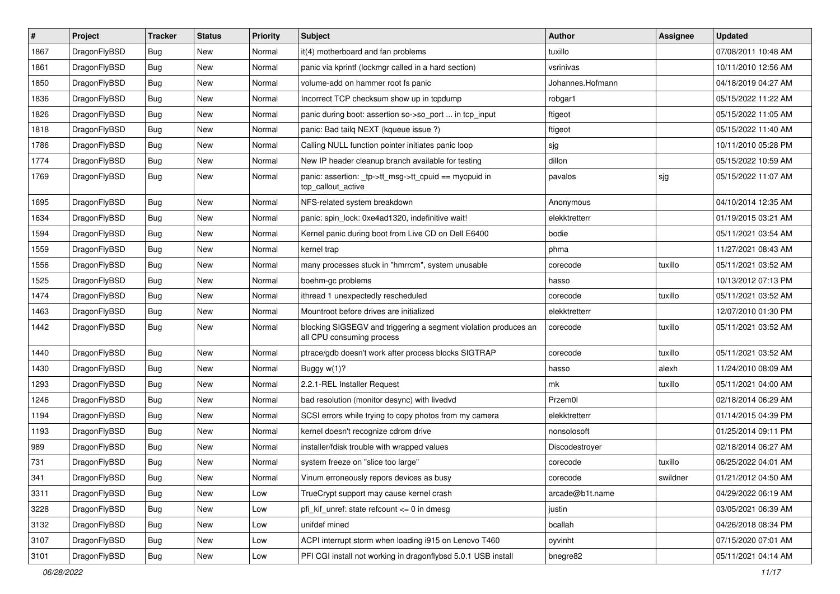| $\vert$ # | Project      | <b>Tracker</b> | <b>Status</b> | <b>Priority</b> | <b>Subject</b>                                                                               | <b>Author</b>    | Assignee | <b>Updated</b>      |
|-----------|--------------|----------------|---------------|-----------------|----------------------------------------------------------------------------------------------|------------------|----------|---------------------|
| 1867      | DragonFlyBSD | Bug            | <b>New</b>    | Normal          | it(4) motherboard and fan problems                                                           | tuxillo          |          | 07/08/2011 10:48 AM |
| 1861      | DragonFlyBSD | <b>Bug</b>     | <b>New</b>    | Normal          | panic via kprintf (lockmgr called in a hard section)                                         | vsrinivas        |          | 10/11/2010 12:56 AM |
| 1850      | DragonFlyBSD | <b>Bug</b>     | <b>New</b>    | Normal          | volume-add on hammer root fs panic                                                           | Johannes.Hofmann |          | 04/18/2019 04:27 AM |
| 1836      | DragonFlyBSD | Bug            | <b>New</b>    | Normal          | Incorrect TCP checksum show up in tcpdump                                                    | robgar1          |          | 05/15/2022 11:22 AM |
| 1826      | DragonFlyBSD | <b>Bug</b>     | <b>New</b>    | Normal          | panic during boot: assertion so->so_port  in tcp_input                                       | ftigeot          |          | 05/15/2022 11:05 AM |
| 1818      | DragonFlyBSD | <b>Bug</b>     | <b>New</b>    | Normal          | panic: Bad tailq NEXT (kqueue issue ?)                                                       | ftigeot          |          | 05/15/2022 11:40 AM |
| 1786      | DragonFlyBSD | <b>Bug</b>     | <b>New</b>    | Normal          | Calling NULL function pointer initiates panic loop                                           | sjg              |          | 10/11/2010 05:28 PM |
| 1774      | DragonFlyBSD | <b>Bug</b>     | <b>New</b>    | Normal          | New IP header cleanup branch available for testing                                           | dillon           |          | 05/15/2022 10:59 AM |
| 1769      | DragonFlyBSD | Bug            | New           | Normal          | panic: assertion: _tp->tt_msg->tt_cpuid == mycpuid in<br>tcp_callout_active                  | pavalos          | sjg      | 05/15/2022 11:07 AM |
| 1695      | DragonFlyBSD | Bug            | <b>New</b>    | Normal          | NFS-related system breakdown                                                                 | Anonymous        |          | 04/10/2014 12:35 AM |
| 1634      | DragonFlyBSD | Bug            | <b>New</b>    | Normal          | panic: spin lock: 0xe4ad1320, indefinitive wait!                                             | elekktretterr    |          | 01/19/2015 03:21 AM |
| 1594      | DragonFlyBSD | <b>Bug</b>     | <b>New</b>    | Normal          | Kernel panic during boot from Live CD on Dell E6400                                          | bodie            |          | 05/11/2021 03:54 AM |
| 1559      | DragonFlyBSD | <b>Bug</b>     | <b>New</b>    | Normal          | kernel trap                                                                                  | phma             |          | 11/27/2021 08:43 AM |
| 1556      | DragonFlyBSD | <b>Bug</b>     | <b>New</b>    | Normal          | many processes stuck in "hmrrcm", system unusable                                            | corecode         | tuxillo  | 05/11/2021 03:52 AM |
| 1525      | DragonFlyBSD | <b>Bug</b>     | New           | Normal          | boehm-gc problems                                                                            | hasso            |          | 10/13/2012 07:13 PM |
| 1474      | DragonFlyBSD | Bug            | <b>New</b>    | Normal          | ithread 1 unexpectedly rescheduled                                                           | corecode         | tuxillo  | 05/11/2021 03:52 AM |
| 1463      | DragonFlyBSD | <b>Bug</b>     | <b>New</b>    | Normal          | Mountroot before drives are initialized                                                      | elekktretterr    |          | 12/07/2010 01:30 PM |
| 1442      | DragonFlyBSD | Bug            | New           | Normal          | blocking SIGSEGV and triggering a segment violation produces an<br>all CPU consuming process | corecode         | tuxillo  | 05/11/2021 03:52 AM |
| 1440      | DragonFlyBSD | Bug            | <b>New</b>    | Normal          | ptrace/gdb doesn't work after process blocks SIGTRAP                                         | corecode         | tuxillo  | 05/11/2021 03:52 AM |
| 1430      | DragonFlyBSD | <b>Bug</b>     | <b>New</b>    | Normal          | Buggy w(1)?                                                                                  | hasso            | alexh    | 11/24/2010 08:09 AM |
| 1293      | DragonFlyBSD | <b>Bug</b>     | <b>New</b>    | Normal          | 2.2.1-REL Installer Request                                                                  | mk               | tuxillo  | 05/11/2021 04:00 AM |
| 1246      | DragonFlyBSD | Bug            | <b>New</b>    | Normal          | bad resolution (monitor desync) with livedvd                                                 | Przem0l          |          | 02/18/2014 06:29 AM |
| 1194      | DragonFlyBSD | Bug            | New           | Normal          | SCSI errors while trying to copy photos from my camera                                       | elekktretterr    |          | 01/14/2015 04:39 PM |
| 1193      | DragonFlyBSD | <b>Bug</b>     | <b>New</b>    | Normal          | kernel doesn't recognize cdrom drive                                                         | nonsolosoft      |          | 01/25/2014 09:11 PM |
| 989       | DragonFlyBSD | <b>Bug</b>     | New           | Normal          | installer/fdisk trouble with wrapped values                                                  | Discodestroyer   |          | 02/18/2014 06:27 AM |
| 731       | DragonFlyBSD | <b>Bug</b>     | <b>New</b>    | Normal          | system freeze on "slice too large"                                                           | corecode         | tuxillo  | 06/25/2022 04:01 AM |
| 341       | DragonFlyBSD | <b>Bug</b>     | New           | Normal          | Vinum erroneously repors devices as busy                                                     | corecode         | swildner | 01/21/2012 04:50 AM |
| 3311      | DragonFlyBSD | Bug            | New           | Low             | TrueCrypt support may cause kernel crash                                                     | arcade@b1t.name  |          | 04/29/2022 06:19 AM |
| 3228      | DragonFlyBSD | <b>Bug</b>     | New           | Low             | pfi_kif_unref: state refcount <= 0 in dmesg                                                  | justin           |          | 03/05/2021 06:39 AM |
| 3132      | DragonFlyBSD | <b>Bug</b>     | New           | Low             | unifdef mined                                                                                | bcallah          |          | 04/26/2018 08:34 PM |
| 3107      | DragonFlyBSD | <b>Bug</b>     | New           | Low             | ACPI interrupt storm when loading i915 on Lenovo T460                                        | oyvinht          |          | 07/15/2020 07:01 AM |
| 3101      | DragonFlyBSD | <b>Bug</b>     | New           | Low             | PFI CGI install not working in dragonflybsd 5.0.1 USB install                                | bnegre82         |          | 05/11/2021 04:14 AM |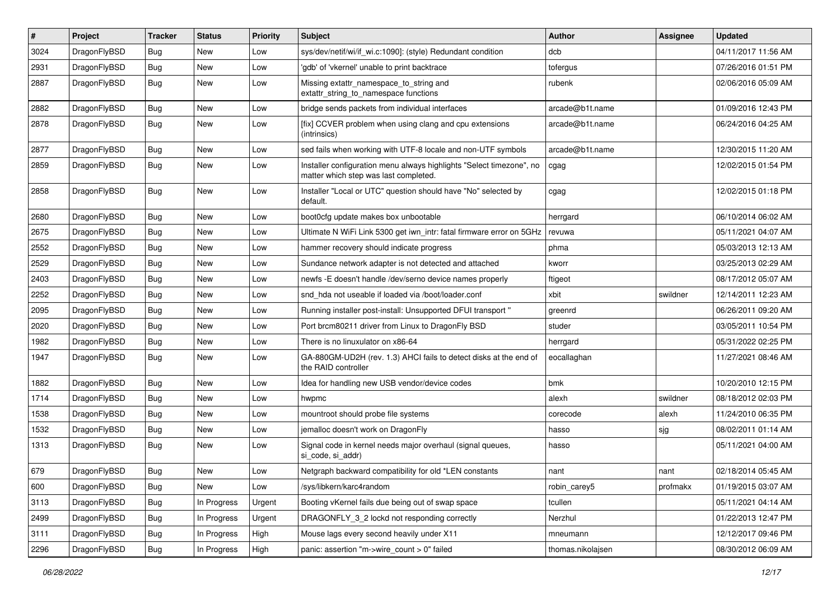| $\sharp$ | Project      | <b>Tracker</b> | <b>Status</b> | <b>Priority</b> | Subject                                                                                                       | Author            | <b>Assignee</b> | <b>Updated</b>      |
|----------|--------------|----------------|---------------|-----------------|---------------------------------------------------------------------------------------------------------------|-------------------|-----------------|---------------------|
| 3024     | DragonFlyBSD | Bug            | <b>New</b>    | Low             | sys/dev/netif/wi/if_wi.c:1090]: (style) Redundant condition                                                   | dcb               |                 | 04/11/2017 11:56 AM |
| 2931     | DragonFlyBSD | <b>Bug</b>     | <b>New</b>    | Low             | 'gdb' of 'vkernel' unable to print backtrace                                                                  | tofergus          |                 | 07/26/2016 01:51 PM |
| 2887     | DragonFlyBSD | Bug            | <b>New</b>    | Low             | Missing extattr_namespace_to_string and<br>extattr_string_to_namespace functions                              | rubenk            |                 | 02/06/2016 05:09 AM |
| 2882     | DragonFlyBSD | Bug            | New           | Low             | bridge sends packets from individual interfaces                                                               | arcade@b1t.name   |                 | 01/09/2016 12:43 PM |
| 2878     | DragonFlyBSD | Bug            | <b>New</b>    | Low             | [fix] CCVER problem when using clang and cpu extensions<br>(intrinsics)                                       | arcade@b1t.name   |                 | 06/24/2016 04:25 AM |
| 2877     | DragonFlyBSD | Bug            | <b>New</b>    | Low             | sed fails when working with UTF-8 locale and non-UTF symbols                                                  | arcade@b1t.name   |                 | 12/30/2015 11:20 AM |
| 2859     | DragonFlyBSD | <b>Bug</b>     | New           | Low             | Installer configuration menu always highlights "Select timezone", no<br>matter which step was last completed. | cgag              |                 | 12/02/2015 01:54 PM |
| 2858     | DragonFlyBSD | Bug            | New           | Low             | Installer "Local or UTC" question should have "No" selected by<br>default.                                    | cgag              |                 | 12/02/2015 01:18 PM |
| 2680     | DragonFlyBSD | Bug            | <b>New</b>    | Low             | boot0cfg update makes box unbootable                                                                          | herrgard          |                 | 06/10/2014 06:02 AM |
| 2675     | DragonFlyBSD | <b>Bug</b>     | New           | Low             | Ultimate N WiFi Link 5300 get iwn intr: fatal firmware error on 5GHz                                          | revuwa            |                 | 05/11/2021 04:07 AM |
| 2552     | DragonFlyBSD | <b>Bug</b>     | <b>New</b>    | Low             | hammer recovery should indicate progress                                                                      | phma              |                 | 05/03/2013 12:13 AM |
| 2529     | DragonFlyBSD | <b>Bug</b>     | New           | Low             | Sundance network adapter is not detected and attached                                                         | kworr             |                 | 03/25/2013 02:29 AM |
| 2403     | DragonFlyBSD | <b>Bug</b>     | New           | Low             | newfs -E doesn't handle /dev/serno device names properly                                                      | ftigeot           |                 | 08/17/2012 05:07 AM |
| 2252     | DragonFlyBSD | Bug            | <b>New</b>    | Low             | snd hda not useable if loaded via /boot/loader.conf                                                           | xbit              | swildner        | 12/14/2011 12:23 AM |
| 2095     | DragonFlyBSD | <b>Bug</b>     | New           | Low             | Running installer post-install: Unsupported DFUI transport "                                                  | greenrd           |                 | 06/26/2011 09:20 AM |
| 2020     | DragonFlyBSD | <b>Bug</b>     | New           | Low             | Port brcm80211 driver from Linux to DragonFly BSD                                                             | studer            |                 | 03/05/2011 10:54 PM |
| 1982     | DragonFlyBSD | <b>Bug</b>     | <b>New</b>    | Low             | There is no linuxulator on x86-64                                                                             | herrgard          |                 | 05/31/2022 02:25 PM |
| 1947     | DragonFlyBSD | Bug            | New           | Low             | GA-880GM-UD2H (rev. 1.3) AHCI fails to detect disks at the end of<br>the RAID controller                      | eocallaghan       |                 | 11/27/2021 08:46 AM |
| 1882     | DragonFlyBSD | Bug            | <b>New</b>    | Low             | Idea for handling new USB vendor/device codes                                                                 | bmk               |                 | 10/20/2010 12:15 PM |
| 1714     | DragonFlyBSD | Bug            | <b>New</b>    | Low             | hwpmc                                                                                                         | alexh             | swildner        | 08/18/2012 02:03 PM |
| 1538     | DragonFlyBSD | Bug            | New           | Low             | mountroot should probe file systems                                                                           | corecode          | alexh           | 11/24/2010 06:35 PM |
| 1532     | DragonFlyBSD | Bug            | New           | Low             | jemalloc doesn't work on DragonFly                                                                            | hasso             | sjg             | 08/02/2011 01:14 AM |
| 1313     | DragonFlyBSD | Bug            | <b>New</b>    | Low             | Signal code in kernel needs major overhaul (signal queues,<br>si code, si addr)                               | hasso             |                 | 05/11/2021 04:00 AM |
| 679      | DragonFlyBSD | Bug            | <b>New</b>    | Low             | Netgraph backward compatibility for old *LEN constants                                                        | nant              | nant            | 02/18/2014 05:45 AM |
| 600      | DragonFlyBSD | <b>Bug</b>     | New           | Low             | /sys/libkern/karc4random                                                                                      | robin_carey5      | profmakx        | 01/19/2015 03:07 AM |
| 3113     | DragonFlyBSD | <b>Bug</b>     | In Progress   | Urgent          | Booting vKernel fails due being out of swap space                                                             | tcullen           |                 | 05/11/2021 04:14 AM |
| 2499     | DragonFlyBSD | Bug            | In Progress   | Urgent          | DRAGONFLY_3_2 lockd not responding correctly                                                                  | Nerzhul           |                 | 01/22/2013 12:47 PM |
| 3111     | DragonFlyBSD | <b>Bug</b>     | In Progress   | High            | Mouse lags every second heavily under X11                                                                     | mneumann          |                 | 12/12/2017 09:46 PM |
| 2296     | DragonFlyBSD | <b>Bug</b>     | In Progress   | High            | panic: assertion "m->wire_count > 0" failed                                                                   | thomas.nikolajsen |                 | 08/30/2012 06:09 AM |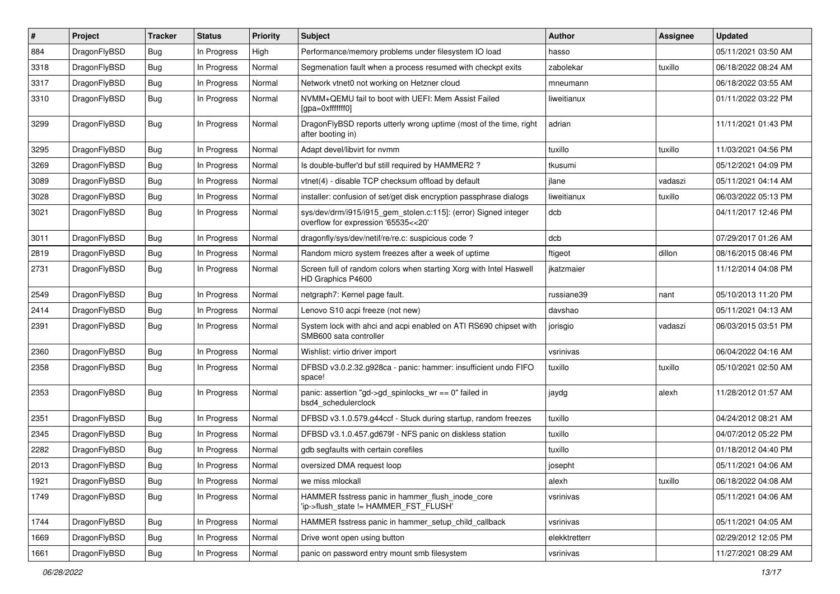| #    | Project      | <b>Tracker</b> | <b>Status</b> | <b>Priority</b> | Subject                                                                                                | <b>Author</b> | Assignee | <b>Updated</b>      |
|------|--------------|----------------|---------------|-----------------|--------------------------------------------------------------------------------------------------------|---------------|----------|---------------------|
| 884  | DragonFlyBSD | Bug            | In Progress   | High            | Performance/memory problems under filesystem IO load                                                   | hasso         |          | 05/11/2021 03:50 AM |
| 3318 | DragonFlyBSD | Bug            | In Progress   | Normal          | Segmenation fault when a process resumed with checkpt exits                                            | zabolekar     | tuxillo  | 06/18/2022 08:24 AM |
| 3317 | DragonFlyBSD | Bug            | In Progress   | Normal          | Network vtnet0 not working on Hetzner cloud                                                            | mneumann      |          | 06/18/2022 03:55 AM |
| 3310 | DragonFlyBSD | Bug            | In Progress   | Normal          | NVMM+QEMU fail to boot with UEFI: Mem Assist Failed<br>[gpa=0xfffffff0]                                | liweitianux   |          | 01/11/2022 03:22 PM |
| 3299 | DragonFlyBSD | Bug            | In Progress   | Normal          | DragonFlyBSD reports utterly wrong uptime (most of the time, right<br>after booting in)                | adrian        |          | 11/11/2021 01:43 PM |
| 3295 | DragonFlyBSD | Bug            | In Progress   | Normal          | Adapt devel/libvirt for nymm                                                                           | tuxillo       | tuxillo  | 11/03/2021 04:56 PM |
| 3269 | DragonFlyBSD | Bug            | In Progress   | Normal          | Is double-buffer'd buf still required by HAMMER2?                                                      | tkusumi       |          | 05/12/2021 04:09 PM |
| 3089 | DragonFlyBSD | Bug            | In Progress   | Normal          | vtnet(4) - disable TCP checksum offload by default                                                     | jlane         | vadaszi  | 05/11/2021 04:14 AM |
| 3028 | DragonFlyBSD | Bug            | In Progress   | Normal          | installer: confusion of set/get disk encryption passphrase dialogs                                     | liweitianux   | tuxillo  | 06/03/2022 05:13 PM |
| 3021 | DragonFlyBSD | Bug            | In Progress   | Normal          | sys/dev/drm/i915/i915_gem_stolen.c:115]: (error) Signed integer<br>overflow for expression '65535<<20' | dcb           |          | 04/11/2017 12:46 PM |
| 3011 | DragonFlyBSD | Bug            | In Progress   | Normal          | dragonfly/sys/dev/netif/re/re.c: suspicious code?                                                      | dcb           |          | 07/29/2017 01:26 AM |
| 2819 | DragonFlyBSD | Bug            | In Progress   | Normal          | Random micro system freezes after a week of uptime                                                     | ftigeot       | dillon   | 08/16/2015 08:46 PM |
| 2731 | DragonFlyBSD | Bug            | In Progress   | Normal          | Screen full of random colors when starting Xorg with Intel Haswell<br>HD Graphics P4600                | ikatzmaier    |          | 11/12/2014 04:08 PM |
| 2549 | DragonFlyBSD | Bug            | In Progress   | Normal          | netgraph7: Kernel page fault.                                                                          | russiane39    | nant     | 05/10/2013 11:20 PM |
| 2414 | DragonFlyBSD | Bug            | In Progress   | Normal          | Lenovo S10 acpi freeze (not new)                                                                       | davshao       |          | 05/11/2021 04:13 AM |
| 2391 | DragonFlyBSD | Bug            | In Progress   | Normal          | System lock with ahci and acpi enabled on ATI RS690 chipset with<br>SMB600 sata controller             | jorisgio      | vadaszi  | 06/03/2015 03:51 PM |
| 2360 | DragonFlyBSD | Bug            | In Progress   | Normal          | Wishlist: virtio driver import                                                                         | vsrinivas     |          | 06/04/2022 04:16 AM |
| 2358 | DragonFlyBSD | Bug            | In Progress   | Normal          | DFBSD v3.0.2.32.g928ca - panic: hammer: insufficient undo FIFO<br>space!                               | tuxillo       | tuxillo  | 05/10/2021 02:50 AM |
| 2353 | DragonFlyBSD | Bug            | In Progress   | Normal          | panic: assertion "gd->gd_spinlocks_wr == 0" failed in<br>bsd4 schedulerclock                           | jaydg         | alexh    | 11/28/2012 01:57 AM |
| 2351 | DragonFlyBSD | Bug            | In Progress   | Normal          | DFBSD v3.1.0.579.g44ccf - Stuck during startup, random freezes                                         | tuxillo       |          | 04/24/2012 08:21 AM |
| 2345 | DragonFlyBSD | Bug            | In Progress   | Normal          | DFBSD v3.1.0.457.gd679f - NFS panic on diskless station                                                | tuxillo       |          | 04/07/2012 05:22 PM |
| 2282 | DragonFlyBSD | Bug            | In Progress   | Normal          | gdb segfaults with certain corefiles                                                                   | tuxillo       |          | 01/18/2012 04:40 PM |
| 2013 | DragonFlyBSD | <b>Bug</b>     | In Progress   | Normal          | oversized DMA request loop                                                                             | josepht       |          | 05/11/2021 04:06 AM |
| 1921 | DragonFlyBSD | <b>Bug</b>     | In Progress   | Normal          | we miss mlockall                                                                                       | alexh         | tuxillo  | 06/18/2022 04:08 AM |
| 1749 | DragonFlyBSD | <b>Bug</b>     | In Progress   | Normal          | HAMMER fsstress panic in hammer_flush_inode_core<br>'ip->flush_state != HAMMER_FST_FLUSH'              | vsrinivas     |          | 05/11/2021 04:06 AM |
| 1744 | DragonFlyBSD | <b>Bug</b>     | In Progress   | Normal          | HAMMER fsstress panic in hammer_setup_child_callback                                                   | vsrinivas     |          | 05/11/2021 04:05 AM |
| 1669 | DragonFlyBSD | Bug            | In Progress   | Normal          | Drive wont open using button                                                                           | elekktretterr |          | 02/29/2012 12:05 PM |
| 1661 | DragonFlyBSD | <b>Bug</b>     | In Progress   | Normal          | panic on password entry mount smb filesystem                                                           | vsrinivas     |          | 11/27/2021 08:29 AM |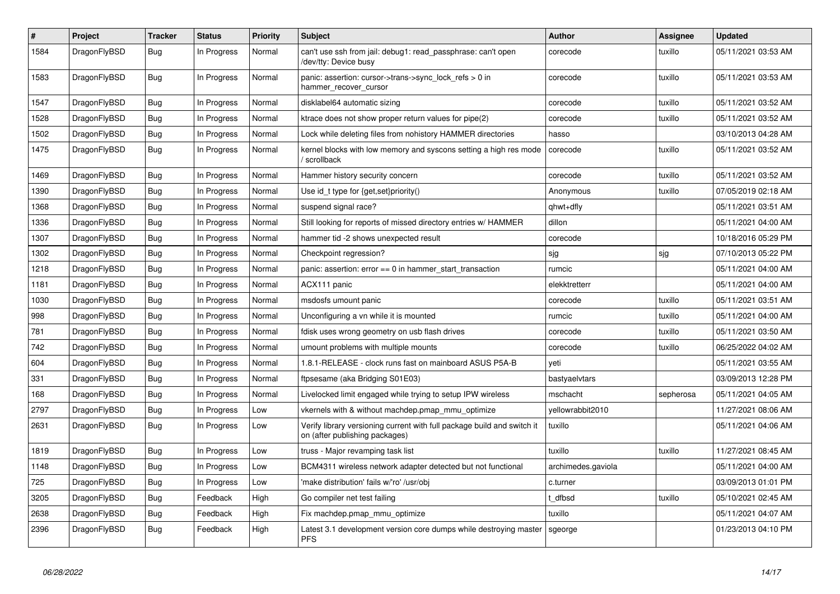| $\#$ | <b>Project</b> | <b>Tracker</b> | <b>Status</b> | <b>Priority</b> | <b>Subject</b>                                                                                            | <b>Author</b>      | Assignee  | Updated             |
|------|----------------|----------------|---------------|-----------------|-----------------------------------------------------------------------------------------------------------|--------------------|-----------|---------------------|
| 1584 | DragonFlyBSD   | Bug            | In Progress   | Normal          | can't use ssh from jail: debug1: read passphrase: can't open<br>/dev/tty: Device busy                     | corecode           | tuxillo   | 05/11/2021 03:53 AM |
| 1583 | DragonFlyBSD   | <b>Bug</b>     | In Progress   | Normal          | panic: assertion: cursor->trans->sync_lock_refs > 0 in<br>hammer recover cursor                           | corecode           | tuxillo   | 05/11/2021 03:53 AM |
| 1547 | DragonFlyBSD   | Bug            | In Progress   | Normal          | disklabel64 automatic sizing                                                                              | corecode           | tuxillo   | 05/11/2021 03:52 AM |
| 1528 | DragonFlyBSD   | <b>Bug</b>     | In Progress   | Normal          | ktrace does not show proper return values for pipe(2)                                                     | corecode           | tuxillo   | 05/11/2021 03:52 AM |
| 1502 | DragonFlyBSD   | Bug            | In Progress   | Normal          | Lock while deleting files from nohistory HAMMER directories                                               | hasso              |           | 03/10/2013 04:28 AM |
| 1475 | DragonFlyBSD   | <b>Bug</b>     | In Progress   | Normal          | kernel blocks with low memory and syscons setting a high res mode<br>/ scrollback                         | corecode           | tuxillo   | 05/11/2021 03:52 AM |
| 1469 | DragonFlyBSD   | <b>Bug</b>     | In Progress   | Normal          | Hammer history security concern                                                                           | corecode           | tuxillo   | 05/11/2021 03:52 AM |
| 1390 | DragonFlyBSD   | Bug            | In Progress   | Normal          | Use id_t type for {get,set}priority()                                                                     | Anonymous          | tuxillo   | 07/05/2019 02:18 AM |
| 1368 | DragonFlyBSD   | Bug            | In Progress   | Normal          | suspend signal race?                                                                                      | qhwt+dfly          |           | 05/11/2021 03:51 AM |
| 1336 | DragonFlyBSD   | <b>Bug</b>     | In Progress   | Normal          | Still looking for reports of missed directory entries w/ HAMMER                                           | dillon             |           | 05/11/2021 04:00 AM |
| 1307 | DragonFlyBSD   | <b>Bug</b>     | In Progress   | Normal          | hammer tid -2 shows unexpected result                                                                     | corecode           |           | 10/18/2016 05:29 PM |
| 1302 | DragonFlyBSD   | <b>Bug</b>     | In Progress   | Normal          | Checkpoint regression?                                                                                    | sjg                | sjg       | 07/10/2013 05:22 PM |
| 1218 | DragonFlyBSD   | Bug            | In Progress   | Normal          | panic: assertion: $error == 0$ in hammer start transaction                                                | rumcic             |           | 05/11/2021 04:00 AM |
| 1181 | DragonFlyBSD   | <b>Bug</b>     | In Progress   | Normal          | ACX111 panic                                                                                              | elekktretterr      |           | 05/11/2021 04:00 AM |
| 1030 | DragonFlyBSD   | Bug            | In Progress   | Normal          | msdosfs umount panic                                                                                      | corecode           | tuxillo   | 05/11/2021 03:51 AM |
| 998  | DragonFlyBSD   | <b>Bug</b>     | In Progress   | Normal          | Unconfiguring a vn while it is mounted                                                                    | rumcic             | tuxillo   | 05/11/2021 04:00 AM |
| 781  | DragonFlyBSD   | Bug            | In Progress   | Normal          | fdisk uses wrong geometry on usb flash drives                                                             | corecode           | tuxillo   | 05/11/2021 03:50 AM |
| 742  | DragonFlyBSD   | <b>Bug</b>     | In Progress   | Normal          | umount problems with multiple mounts                                                                      | corecode           | tuxillo   | 06/25/2022 04:02 AM |
| 604  | DragonFlyBSD   | <b>Bug</b>     | In Progress   | Normal          | 1.8.1-RELEASE - clock runs fast on mainboard ASUS P5A-B                                                   | yeti               |           | 05/11/2021 03:55 AM |
| 331  | DragonFlyBSD   | <b>Bug</b>     | In Progress   | Normal          | ftpsesame (aka Bridging S01E03)                                                                           | bastyaelvtars      |           | 03/09/2013 12:28 PM |
| 168  | DragonFlyBSD   | Bug            | In Progress   | Normal          | Livelocked limit engaged while trying to setup IPW wireless                                               | mschacht           | sepherosa | 05/11/2021 04:05 AM |
| 2797 | DragonFlyBSD   | Bug            | In Progress   | Low             | vkernels with & without machdep.pmap mmu optimize                                                         | vellowrabbit2010   |           | 11/27/2021 08:06 AM |
| 2631 | DragonFlyBSD   | <b>Bug</b>     | In Progress   | Low             | Verify library versioning current with full package build and switch it<br>on (after publishing packages) | tuxillo            |           | 05/11/2021 04:06 AM |
| 1819 | DragonFlyBSD   | Bug            | In Progress   | Low             | truss - Major revamping task list                                                                         | tuxillo            | tuxillo   | 11/27/2021 08:45 AM |
| 1148 | DragonFlyBSD   | Bug            | In Progress   | Low             | BCM4311 wireless network adapter detected but not functional                                              | archimedes.gaviola |           | 05/11/2021 04:00 AM |
| 725  | DragonFlyBSD   | <b>Bug</b>     | In Progress   | Low             | 'make distribution' fails w/'ro' /usr/obj                                                                 | c.turner           |           | 03/09/2013 01:01 PM |
| 3205 | DragonFlyBSD   | Bug            | Feedback      | High            | Go compiler net test failing                                                                              | t dfbsd            | tuxillo   | 05/10/2021 02:45 AM |
| 2638 | DragonFlyBSD   | Bug            | Feedback      | High            | Fix machdep.pmap mmu optimize                                                                             | tuxillo            |           | 05/11/2021 04:07 AM |
| 2396 | DragonFlyBSD   | Bug            | Feedback      | High            | Latest 3.1 development version core dumps while destroying master<br><b>PFS</b>                           | sgeorge            |           | 01/23/2013 04:10 PM |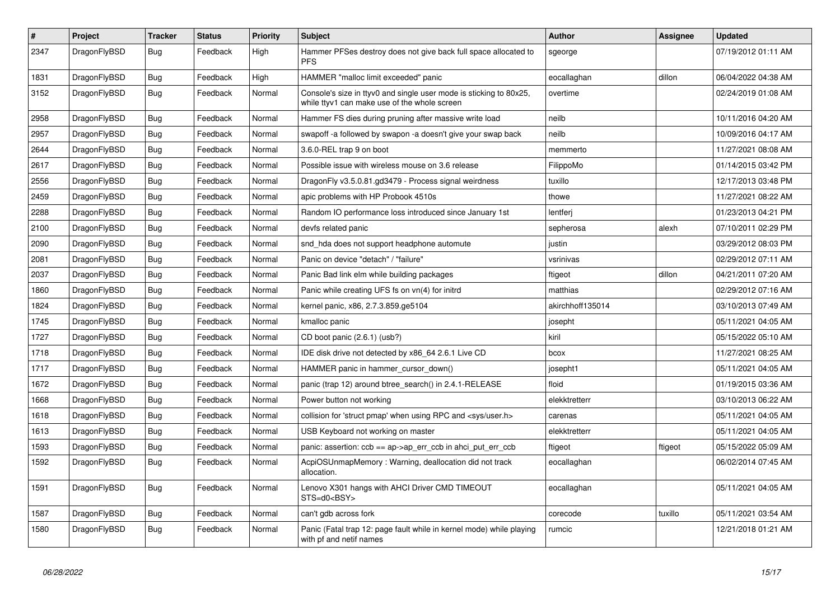| $\sharp$ | <b>Project</b> | <b>Tracker</b> | <b>Status</b> | <b>Priority</b> | <b>Subject</b>                                                                                                     | <b>Author</b>    | Assignee | <b>Updated</b>      |
|----------|----------------|----------------|---------------|-----------------|--------------------------------------------------------------------------------------------------------------------|------------------|----------|---------------------|
| 2347     | DragonFlyBSD   | Bug            | Feedback      | High            | Hammer PFSes destroy does not give back full space allocated to<br><b>PFS</b>                                      | sgeorge          |          | 07/19/2012 01:11 AM |
| 1831     | DragonFlyBSD   | Bug            | Feedback      | High            | HAMMER "malloc limit exceeded" panic                                                                               | eocallaghan      | dillon   | 06/04/2022 04:38 AM |
| 3152     | DragonFlyBSD   | <b>Bug</b>     | Feedback      | Normal          | Console's size in ttyv0 and single user mode is sticking to 80x25,<br>while ttyv1 can make use of the whole screen | overtime         |          | 02/24/2019 01:08 AM |
| 2958     | DragonFlyBSD   | <b>Bug</b>     | Feedback      | Normal          | Hammer FS dies during pruning after massive write load                                                             | neilb            |          | 10/11/2016 04:20 AM |
| 2957     | DragonFlyBSD   | Bug            | Feedback      | Normal          | swapoff -a followed by swapon -a doesn't give your swap back                                                       | neilb            |          | 10/09/2016 04:17 AM |
| 2644     | DragonFlyBSD   | <b>Bug</b>     | Feedback      | Normal          | 3.6.0-REL trap 9 on boot                                                                                           | memmerto         |          | 11/27/2021 08:08 AM |
| 2617     | DragonFlyBSD   | <b>Bug</b>     | Feedback      | Normal          | Possible issue with wireless mouse on 3.6 release                                                                  | FilippoMo        |          | 01/14/2015 03:42 PM |
| 2556     | DragonFlyBSD   | <b>Bug</b>     | Feedback      | Normal          | DragonFly v3.5.0.81.gd3479 - Process signal weirdness                                                              | tuxillo          |          | 12/17/2013 03:48 PM |
| 2459     | DragonFlyBSD   | <b>Bug</b>     | Feedback      | Normal          | apic problems with HP Probook 4510s                                                                                | thowe            |          | 11/27/2021 08:22 AM |
| 2288     | DragonFlyBSD   | <b>Bug</b>     | Feedback      | Normal          | Random IO performance loss introduced since January 1st                                                            | lentferj         |          | 01/23/2013 04:21 PM |
| 2100     | DragonFlyBSD   | <b>Bug</b>     | Feedback      | Normal          | devfs related panic                                                                                                | sepherosa        | alexh    | 07/10/2011 02:29 PM |
| 2090     | DragonFlyBSD   | Bug            | Feedback      | Normal          | snd hda does not support headphone automute                                                                        | justin           |          | 03/29/2012 08:03 PM |
| 2081     | DragonFlyBSD   | Bug            | Feedback      | Normal          | Panic on device "detach" / "failure"                                                                               | vsrinivas        |          | 02/29/2012 07:11 AM |
| 2037     | DragonFlyBSD   | Bug            | Feedback      | Normal          | Panic Bad link elm while building packages                                                                         | ftigeot          | dillon   | 04/21/2011 07:20 AM |
| 1860     | DragonFlyBSD   | <b>Bug</b>     | Feedback      | Normal          | Panic while creating UFS fs on vn(4) for initrd                                                                    | matthias         |          | 02/29/2012 07:16 AM |
| 1824     | DragonFlyBSD   | Bug            | Feedback      | Normal          | kernel panic, x86, 2.7.3.859.ge5104                                                                                | akirchhoff135014 |          | 03/10/2013 07:49 AM |
| 1745     | DragonFlyBSD   | Bug            | Feedback      | Normal          | kmalloc panic                                                                                                      | josepht          |          | 05/11/2021 04:05 AM |
| 1727     | DragonFlyBSD   | Bug            | Feedback      | Normal          | CD boot panic (2.6.1) (usb?)                                                                                       | kiril            |          | 05/15/2022 05:10 AM |
| 1718     | DragonFlyBSD   | Bug            | Feedback      | Normal          | IDE disk drive not detected by x86_64 2.6.1 Live CD                                                                | bcox             |          | 11/27/2021 08:25 AM |
| 1717     | DragonFlyBSD   | Bug            | Feedback      | Normal          | HAMMER panic in hammer cursor down()                                                                               | josepht1         |          | 05/11/2021 04:05 AM |
| 1672     | DragonFlyBSD   | Bug            | Feedback      | Normal          | panic (trap 12) around btree_search() in 2.4.1-RELEASE                                                             | floid            |          | 01/19/2015 03:36 AM |
| 1668     | DragonFlyBSD   | <b>Bug</b>     | Feedback      | Normal          | Power button not working                                                                                           | elekktretterr    |          | 03/10/2013 06:22 AM |
| 1618     | DragonFlyBSD   | <b>Bug</b>     | Feedback      | Normal          | collision for 'struct pmap' when using RPC and <sys user.h=""></sys>                                               | carenas          |          | 05/11/2021 04:05 AM |
| 1613     | DragonFlyBSD   | Bug            | Feedback      | Normal          | USB Keyboard not working on master                                                                                 | elekktretterr    |          | 05/11/2021 04:05 AM |
| 1593     | DragonFlyBSD   | Bug            | Feedback      | Normal          | panic: assertion: ccb == ap->ap_err_ccb in ahci_put_err_ccb                                                        | ftigeot          | ftigeot  | 05/15/2022 05:09 AM |
| 1592     | DragonFlyBSD   | <b>Bug</b>     | Feedback      | Normal          | AcpiOSUnmapMemory: Warning, deallocation did not track<br>allocation.                                              | eocallaghan      |          | 06/02/2014 07:45 AM |
| 1591     | DragonFlyBSD   | Bug            | Feedback      | Normal          | Lenovo X301 hangs with AHCI Driver CMD TIMEOUT<br>STS=d0 <bsy></bsy>                                               | eocallaghan      |          | 05/11/2021 04:05 AM |
| 1587     | DragonFlyBSD   | <b>Bug</b>     | Feedback      | Normal          | can't gdb across fork                                                                                              | corecode         | tuxillo  | 05/11/2021 03:54 AM |
| 1580     | DragonFlyBSD   | <b>Bug</b>     | Feedback      | Normal          | Panic (Fatal trap 12: page fault while in kernel mode) while playing<br>with pf and netif names                    | rumcic           |          | 12/21/2018 01:21 AM |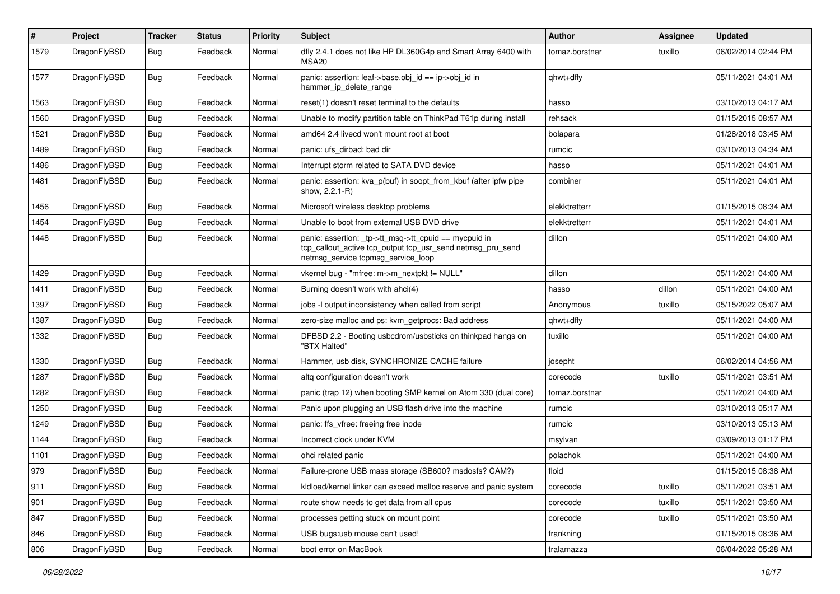| $\vert$ # | Project      | <b>Tracker</b> | <b>Status</b> | <b>Priority</b> | <b>Subject</b>                                                                                                                                            | Author         | <b>Assignee</b> | <b>Updated</b>      |
|-----------|--------------|----------------|---------------|-----------------|-----------------------------------------------------------------------------------------------------------------------------------------------------------|----------------|-----------------|---------------------|
| 1579      | DragonFlyBSD | Bug            | Feedback      | Normal          | dfly 2.4.1 does not like HP DL360G4p and Smart Array 6400 with<br>MSA <sub>20</sub>                                                                       | tomaz.borstnar | tuxillo         | 06/02/2014 02:44 PM |
| 1577      | DragonFlyBSD | Bug            | Feedback      | Normal          | panic: assertion: leaf->base.obj_id == ip->obj_id in<br>hammer_ip_delete_range                                                                            | qhwt+dfly      |                 | 05/11/2021 04:01 AM |
| 1563      | DragonFlyBSD | <b>Bug</b>     | Feedback      | Normal          | reset(1) doesn't reset terminal to the defaults                                                                                                           | hasso          |                 | 03/10/2013 04:17 AM |
| 1560      | DragonFlyBSD | <b>Bug</b>     | Feedback      | Normal          | Unable to modify partition table on ThinkPad T61p during install                                                                                          | rehsack        |                 | 01/15/2015 08:57 AM |
| 1521      | DragonFlyBSD | Bug            | Feedback      | Normal          | amd64 2.4 livecd won't mount root at boot                                                                                                                 | bolapara       |                 | 01/28/2018 03:45 AM |
| 1489      | DragonFlyBSD | Bug            | Feedback      | Normal          | panic: ufs dirbad: bad dir                                                                                                                                | rumcic         |                 | 03/10/2013 04:34 AM |
| 1486      | DragonFlyBSD | <b>Bug</b>     | Feedback      | Normal          | Interrupt storm related to SATA DVD device                                                                                                                | hasso          |                 | 05/11/2021 04:01 AM |
| 1481      | DragonFlyBSD | <b>Bug</b>     | Feedback      | Normal          | panic: assertion: kva_p(buf) in soopt_from_kbuf (after ipfw pipe<br>show, 2.2.1-R)                                                                        | combiner       |                 | 05/11/2021 04:01 AM |
| 1456      | DragonFlyBSD | <b>Bug</b>     | Feedback      | Normal          | Microsoft wireless desktop problems                                                                                                                       | elekktretterr  |                 | 01/15/2015 08:34 AM |
| 1454      | DragonFlyBSD | <b>Bug</b>     | Feedback      | Normal          | Unable to boot from external USB DVD drive                                                                                                                | elekktretterr  |                 | 05/11/2021 04:01 AM |
| 1448      | DragonFlyBSD | <b>Bug</b>     | Feedback      | Normal          | panic: assertion: _tp->tt_msg->tt_cpuid == mycpuid in<br>tcp_callout_active tcp_output tcp_usr_send netmsg_pru_send<br>netmsg_service tcpmsg_service_loop | dillon         |                 | 05/11/2021 04:00 AM |
| 1429      | DragonFlyBSD | <b>Bug</b>     | Feedback      | Normal          | vkernel bug - "mfree: m->m_nextpkt != NULL"                                                                                                               | dillon         |                 | 05/11/2021 04:00 AM |
| 1411      | DragonFlyBSD | Bug            | Feedback      | Normal          | Burning doesn't work with ahci(4)                                                                                                                         | hasso          | dillon          | 05/11/2021 04:00 AM |
| 1397      | DragonFlyBSD | <b>Bug</b>     | Feedback      | Normal          | jobs -I output inconsistency when called from script                                                                                                      | Anonymous      | tuxillo         | 05/15/2022 05:07 AM |
| 1387      | DragonFlyBSD | Bug            | Feedback      | Normal          | zero-size malloc and ps: kvm_getprocs: Bad address                                                                                                        | qhwt+dfly      |                 | 05/11/2021 04:00 AM |
| 1332      | DragonFlyBSD | <b>Bug</b>     | Feedback      | Normal          | DFBSD 2.2 - Booting usbcdrom/usbsticks on thinkpad hangs on<br>"BTX Halted"                                                                               | tuxillo        |                 | 05/11/2021 04:00 AM |
| 1330      | DragonFlyBSD | Bug            | Feedback      | Normal          | Hammer, usb disk, SYNCHRONIZE CACHE failure                                                                                                               | josepht        |                 | 06/02/2014 04:56 AM |
| 1287      | DragonFlyBSD | <b>Bug</b>     | Feedback      | Normal          | altg configuration doesn't work                                                                                                                           | corecode       | tuxillo         | 05/11/2021 03:51 AM |
| 1282      | DragonFlyBSD | <b>Bug</b>     | Feedback      | Normal          | panic (trap 12) when booting SMP kernel on Atom 330 (dual core)                                                                                           | tomaz.borstnar |                 | 05/11/2021 04:00 AM |
| 1250      | DragonFlyBSD | <b>Bug</b>     | Feedback      | Normal          | Panic upon plugging an USB flash drive into the machine                                                                                                   | rumcic         |                 | 03/10/2013 05:17 AM |
| 1249      | DragonFlyBSD | <b>Bug</b>     | Feedback      | Normal          | panic: ffs vfree: freeing free inode                                                                                                                      | rumcic         |                 | 03/10/2013 05:13 AM |
| 1144      | DragonFlyBSD | Bug            | Feedback      | Normal          | Incorrect clock under KVM                                                                                                                                 | msylvan        |                 | 03/09/2013 01:17 PM |
| 1101      | DragonFlyBSD | <b>Bug</b>     | Feedback      | Normal          | ohci related panic                                                                                                                                        | polachok       |                 | 05/11/2021 04:00 AM |
| 979       | DragonFlyBSD | Bug            | Feedback      | Normal          | Failure-prone USB mass storage (SB600? msdosfs? CAM?)                                                                                                     | floid          |                 | 01/15/2015 08:38 AM |
| 911       | DragonFlyBSD | Bug            | Feedback      | Normal          | kldload/kernel linker can exceed malloc reserve and panic system                                                                                          | corecode       | tuxillo         | 05/11/2021 03:51 AM |
| 901       | DragonFlyBSD | Bug            | Feedback      | Normal          | route show needs to get data from all cpus                                                                                                                | corecode       | tuxillo         | 05/11/2021 03:50 AM |
| 847       | DragonFlyBSD | <b>Bug</b>     | Feedback      | Normal          | processes getting stuck on mount point                                                                                                                    | corecode       | tuxillo         | 05/11/2021 03:50 AM |
| 846       | DragonFlyBSD | <b>Bug</b>     | Feedback      | Normal          | USB bugs:usb mouse can't used!                                                                                                                            | frankning      |                 | 01/15/2015 08:36 AM |
| 806       | DragonFlyBSD | Bug            | Feedback      | Normal          | boot error on MacBook                                                                                                                                     | tralamazza     |                 | 06/04/2022 05:28 AM |